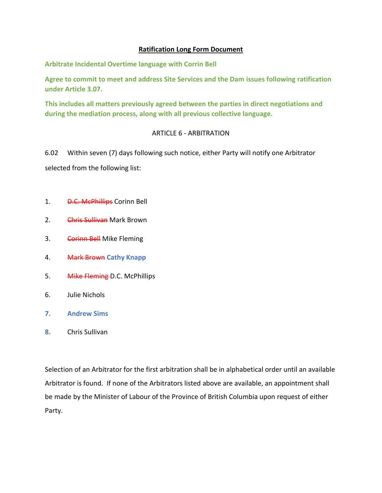## **Ratification Long Form Document**

**Arbitrate Incidental Overtime language with Corrin Bell**

**Agree to commit to meet and address Site Services and the Dam issues following ratification under Article 3.07.**

**This includes all matters previously agreed between the parties in direct negotiations and during the mediation process, along with all previous collective language.**

## ARTICLE 6 - ARBITRATION

6.02 Within seven (7) days following such notice, either Party will notify one Arbitrator selected from the following list:

- 1. **D.C. McPhillips** Corinn Bell
- 2. Chris Sullivan Mark Brown
- 3. Corinn Bell Mike Fleming
- 4. Mark Brown **Cathy Knapp**
- 5. Mike Fleming-D.C. McPhillips
- 6. Julie Nichols
- **7. Andrew Sims**
- **8.** Chris Sullivan

Selection of an Arbitrator for the first arbitration shall be in alphabetical order until an available Arbitrator is found. If none of the Arbitrators listed above are available, an appointment shall be made by the Minister of Labour of the Province of British Columbia upon request of either Party.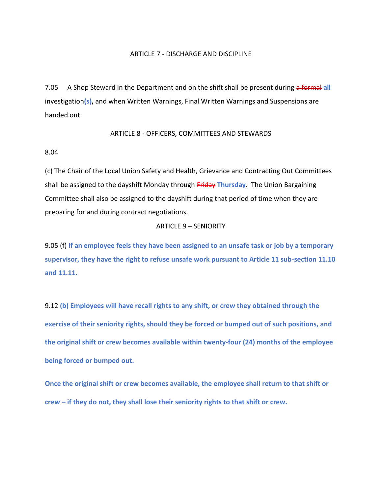#### ARTICLE 7 - DISCHARGE AND DISCIPLINE

7.05 A Shop Steward in the Department and on the shift shall be present during a formal **all** investigation**(s),** and when Written Warnings, Final Written Warnings and Suspensions are handed out.

#### ARTICLE 8 - OFFICERS, COMMITTEES AND STEWARDS

#### 8.04

(c) The Chair of the Local Union Safety and Health, Grievance and Contracting Out Committees shall be assigned to the dayshift Monday through Friday **Thursday**. The Union Bargaining Committee shall also be assigned to the dayshift during that period of time when they are preparing for and during contract negotiations.

#### ARTICLE 9 – SENIORITY

9.05 (f) **If an employee feels they have been assigned to an unsafe task or job by a temporary supervisor, they have the right to refuse unsafe work pursuant to Article 11 sub-section 11.10 and 11.11.**

9.12 **(b) Employees will have recall rights to any shift, or crew they obtained through the exercise of their seniority rights, should they be forced or bumped out of such positions, and the original shift or crew becomes available within twenty-four (24) months of the employee being forced or bumped out.**

**Once the original shift or crew becomes available, the employee shall return to that shift or crew – if they do not, they shall lose their seniority rights to that shift or crew.**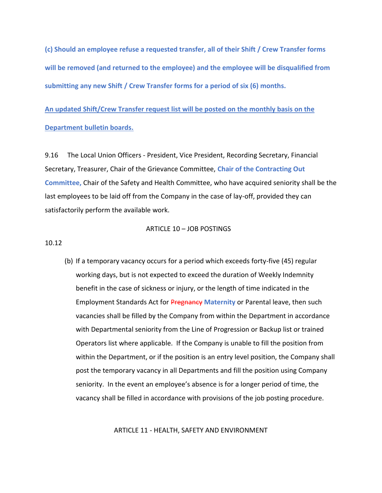**(c) Should an employee refuse a requested transfer, all of their Shift / Crew Transfer forms will be removed (and returned to the employee) and the employee will be disqualified from submitting any new Shift / Crew Transfer forms for a period of six (6) months.**

**An updated Shift/Crew Transfer request list will be posted on the monthly basis on the Department bulletin boards.**

9.16 The Local Union Officers - President, Vice President, Recording Secretary, Financial Secretary, Treasurer, Chair of the Grievance Committee, **Chair of the Contracting Out Committee,** Chair of the Safety and Health Committee, who have acquired seniority shall be the last employees to be laid off from the Company in the case of lay-off, provided they can satisfactorily perform the available work.

#### ARTICLE 10 – JOB POSTINGS

10.12

(b) If a temporary vacancy occurs for a period which exceeds forty-five (45) regular working days, but is not expected to exceed the duration of Weekly Indemnity benefit in the case of sickness or injury, or the length of time indicated in the Employment Standards Act for Pregnancy **Maternity** or Parental leave, then such vacancies shall be filled by the Company from within the Department in accordance with Departmental seniority from the Line of Progression or Backup list or trained Operators list where applicable. If the Company is unable to fill the position from within the Department, or if the position is an entry level position, the Company shall post the temporary vacancy in all Departments and fill the position using Company seniority. In the event an employee's absence is for a longer period of time, the vacancy shall be filled in accordance with provisions of the job posting procedure.

ARTICLE 11 - HEALTH, SAFETY AND ENVIRONMENT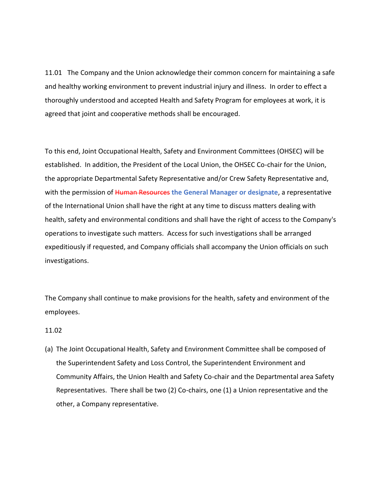11.01 The Company and the Union acknowledge their common concern for maintaining a safe and healthy working environment to prevent industrial injury and illness. In order to effect a thoroughly understood and accepted Health and Safety Program for employees at work, it is agreed that joint and cooperative methods shall be encouraged.

To this end, Joint Occupational Health, Safety and Environment Committees (OHSEC) will be established. In addition, the President of the Local Union, the OHSEC Co-chair for the Union, the appropriate Departmental Safety Representative and/or Crew Safety Representative and, with the permission of Human Resources **the General Manager or designate**, a representative of the International Union shall have the right at any time to discuss matters dealing with health, safety and environmental conditions and shall have the right of access to the Company's operations to investigate such matters. Access for such investigations shall be arranged expeditiously if requested, and Company officials shall accompany the Union officials on such investigations.

The Company shall continue to make provisions for the health, safety and environment of the employees.

#### 11.02

(a) The Joint Occupational Health, Safety and Environment Committee shall be composed of the Superintendent Safety and Loss Control, the Superintendent Environment and Community Affairs, the Union Health and Safety Co-chair and the Departmental area Safety Representatives. There shall be two (2) Co-chairs, one (1) a Union representative and the other, a Company representative.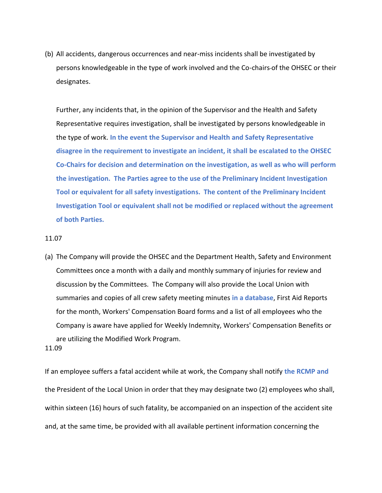(b) All accidents, dangerous occurrences and near-miss incidents shall be investigated by persons knowledgeable in the type of work involved and the Co-chairs of the OHSEC or their designates.

Further, any incidents that, in the opinion of the Supervisor and the Health and Safety Representative requires investigation, shall be investigated by persons knowledgeable in the type of work. **In the event the Supervisor and Health and Safety Representative disagree in the requirement to investigate an incident, it shall be escalated to the OHSEC Co-Chairs for decision and determination on the investigation, as well as who will perform the investigation. The Parties agree to the use of the Preliminary Incident Investigation Tool or equivalent for all safety investigations. The content of the Preliminary Incident Investigation Tool or equivalent shall not be modified or replaced without the agreement of both Parties.**

## 11.07

(a) The Company will provide the OHSEC and the Department Health, Safety and Environment Committees once a month with a daily and monthly summary of injuries for review and discussion by the Committees. The Company will also provide the Local Union with summaries and copies of all crew safety meeting minutes **in a database**, First Aid Reports for the month, Workers' Compensation Board forms and a list of all employees who the Company is aware have applied for Weekly Indemnity, Workers' Compensation Benefits or are utilizing the Modified Work Program.

#### 11.09

If an employee suffers a fatal accident while at work, the Company shall notify **the RCMP and** the President of the Local Union in order that they may designate two (2) employees who shall, within sixteen (16) hours of such fatality, be accompanied on an inspection of the accident site and, at the same time, be provided with all available pertinent information concerning the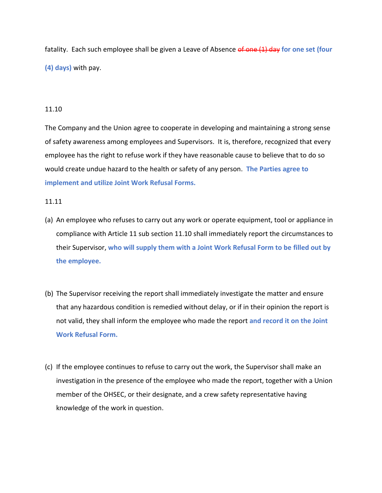fatality. Each such employee shall be given a Leave of Absence of one (1) day for one set (four **(4) days)** with pay.

## 11.10

The Company and the Union agree to cooperate in developing and maintaining a strong sense of safety awareness among employees and Supervisors. It is, therefore, recognized that every employee has the right to refuse work if they have reasonable cause to believe that to do so would create undue hazard to the health or safety of any person. **The Parties agree to implement and utilize Joint Work Refusal Forms.**

## 11.11

- (a) An employee who refuses to carry out any work or operate equipment, tool or appliance in compliance with Article 11 sub section 11.10 shall immediately report the circumstances to their Supervisor, **who will supply them with a Joint Work Refusal Form to be filled out by the employee.**
- (b) The Supervisor receiving the report shall immediately investigate the matter and ensure that any hazardous condition is remedied without delay, or if in their opinion the report is not valid, they shall inform the employee who made the report **and record it on the Joint Work Refusal Form.**
- (c) If the employee continues to refuse to carry out the work, the Supervisor shall make an investigation in the presence of the employee who made the report, together with a Union member of the OHSEC, or their designate, and a crew safety representative having knowledge of the work in question.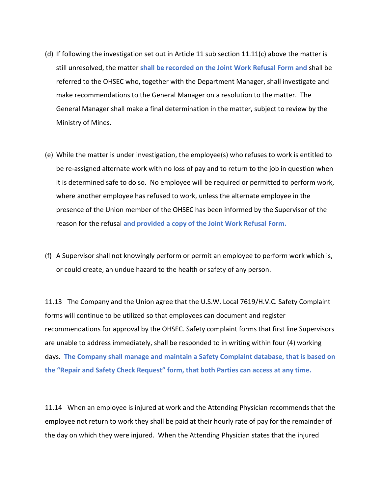- (d) If following the investigation set out in Article 11 sub section  $11.11(c)$  above the matter is still unresolved, the matter **shall be recorded on the Joint Work Refusal Form and** shall be referred to the OHSEC who, together with the Department Manager, shall investigate and make recommendations to the General Manager on a resolution to the matter. The General Manager shall make a final determination in the matter, subject to review by the Ministry of Mines.
- (e) While the matter is under investigation, the employee(s) who refuses to work is entitled to be re-assigned alternate work with no loss of pay and to return to the job in question when it is determined safe to do so. No employee will be required or permitted to perform work, where another employee has refused to work, unless the alternate employee in the presence of the Union member of the OHSEC has been informed by the Supervisor of the reason for the refusal **and provided a copy of the Joint Work Refusal Form.**
- (f) A Supervisor shall not knowingly perform or permit an employee to perform work which is, or could create, an undue hazard to the health or safety of any person.

11.13 The Company and the Union agree that the U.S.W. Local 7619/H.V.C. Safety Complaint forms will continue to be utilized so that employees can document and register recommendations for approval by the OHSEC. Safety complaint forms that first line Supervisors are unable to address immediately, shall be responded to in writing within four (4) working days. **The Company shall manage and maintain a Safety Complaint database, that is based on the "Repair and Safety Check Request" form, that both Parties can access at any time.**

11.14 When an employee is injured at work and the Attending Physician recommends that the employee not return to work they shall be paid at their hourly rate of pay for the remainder of the day on which they were injured. When the Attending Physician states that the injured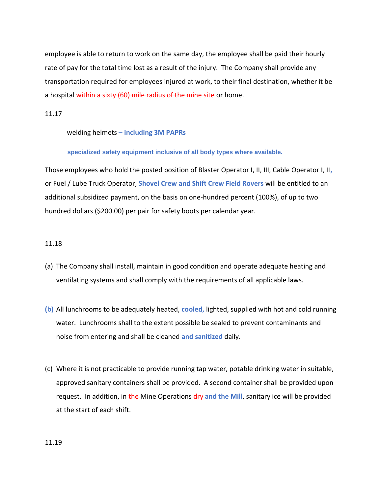employee is able to return to work on the same day, the employee shall be paid their hourly rate of pay for the total time lost as a result of the injury. The Company shall provide any transportation required for employees injured at work, to their final destination, whether it be a hospital within a sixty (60) mile radius of the mine site or home.

11.17

welding helmets **– including 3M PAPRs**

**specialized safety equipment inclusive of all body types where available.** 

Those employees who hold the posted position of Blaster Operator I, II, III, Cable Operator I, II**,** or Fuel / Lube Truck Operator, **Shovel Crew and Shift Crew Field Rovers** will be entitled to an additional subsidized payment, on the basis on one-hundred percent (100%), of up to two hundred dollars (\$200.00) per pair for safety boots per calendar year.

## 11.18

- (a) The Company shall install, maintain in good condition and operate adequate heating and ventilating systems and shall comply with the requirements of all applicable laws.
- **(b)** All lunchrooms to be adequately heated, **cooled,** lighted, supplied with hot and cold running water. Lunchrooms shall to the extent possible be sealed to prevent contaminants and noise from entering and shall be cleaned **and sanitized** daily.
- (c) Where it is not practicable to provide running tap water, potable drinking water in suitable, approved sanitary containers shall be provided. A second container shall be provided upon request. In addition, in the Mine Operations dry and the Mill, sanitary ice will be provided at the start of each shift.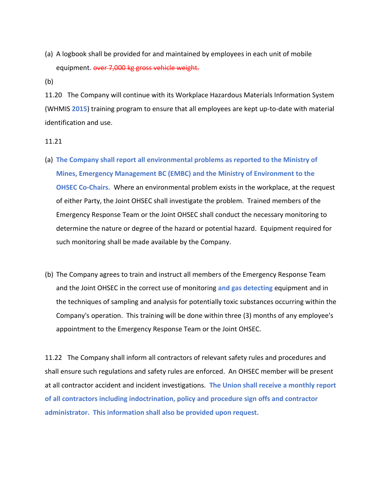(a) A logbook shall be provided for and maintained by employees in each unit of mobile equipment**.** over 7,000 kg gross vehicle weight.

(b)

11.20 The Company will continue with its Workplace Hazardous Materials Information System (WHMIS **2015**) training program to ensure that all employees are kept up-to-date with material identification and use.

- 11.21
- (a) **The Company shall report all environmental problems as reported to the Ministry of Mines, Emergency Management BC (EMBC) and the Ministry of Environment to the OHSEC Co-Chairs.** Where an environmental problem exists in the workplace, at the request of either Party, the Joint OHSEC shall investigate the problem. Trained members of the Emergency Response Team or the Joint OHSEC shall conduct the necessary monitoring to determine the nature or degree of the hazard or potential hazard. Equipment required for such monitoring shall be made available by the Company.
- (b) The Company agrees to train and instruct all members of the Emergency Response Team and the Joint OHSEC in the correct use of monitoring **and gas detecting** equipment and in the techniques of sampling and analysis for potentially toxic substances occurring within the Company's operation. This training will be done within three (3) months of any employee's appointment to the Emergency Response Team or the Joint OHSEC.

11.22 The Company shall inform all contractors of relevant safety rules and procedures and shall ensure such regulations and safety rules are enforced. An OHSEC member will be present at all contractor accident and incident investigations. **The Union shall receive a monthly report of all contractors including indoctrination, policy and procedure sign offs and contractor administrator. This information shall also be provided upon request.**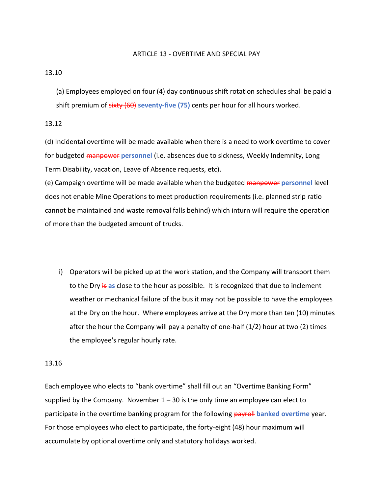#### ARTICLE 13 - OVERTIME AND SPECIAL PAY

### 13.10

(a) Employees employed on four (4) day continuous shift rotation schedules shall be paid a shift premium of sixty (60) **seventy-five (75)** cents per hour for all hours worked.

## 13.12

(d) Incidental overtime will be made available when there is a need to work overtime to cover for budgeted manpower **personnel** (i.e. absences due to sickness, Weekly Indemnity, Long Term Disability, vacation, Leave of Absence requests, etc).

(e) Campaign overtime will be made available when the budgeted manpower **personnel** level does not enable Mine Operations to meet production requirements (i.e. planned strip ratio cannot be maintained and waste removal falls behind) which inturn will require the operation of more than the budgeted amount of trucks.

i) Operators will be picked up at the work station, and the Company will transport them to the Dry is **as** close to the hour as possible. It is recognized that due to inclement weather or mechanical failure of the bus it may not be possible to have the employees at the Dry on the hour. Where employees arrive at the Dry more than ten (10) minutes after the hour the Company will pay a penalty of one-half (1/2) hour at two (2) times the employee's regular hourly rate.

## 13.16

Each employee who elects to "bank overtime" shall fill out an "Overtime Banking Form" supplied by the Company. November  $1 - 30$  is the only time an employee can elect to participate in the overtime banking program for the following payroll **banked overtime** year. For those employees who elect to participate, the forty-eight (48) hour maximum will accumulate by optional overtime only and statutory holidays worked.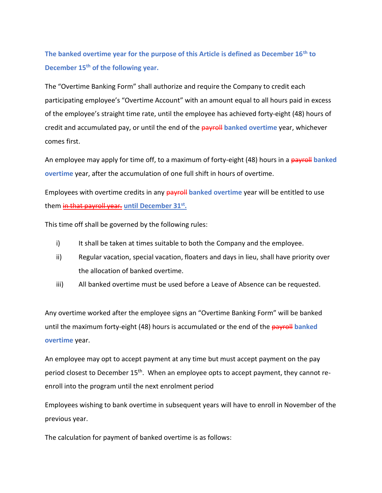**The banked overtime year for the purpose of this Article is defined as December 16th to December 15th of the following year.**

The "Overtime Banking Form" shall authorize and require the Company to credit each participating employee's "Overtime Account" with an amount equal to all hours paid in excess of the employee's straight time rate, until the employee has achieved forty-eight (48) hours of credit and accumulated pay, or until the end of the payroll **banked overtime** year, whichever comes first.

An employee may apply for time off, to a maximum of forty-eight (48) hours in a payroll banked **overtime** year, after the accumulation of one full shift in hours of overtime.

Employees with overtime credits in any payroll **banked overtime** year will be entitled to use them <del><u>in that payroll year.</u> until December 31<sup>st</sup>.</del>

This time off shall be governed by the following rules:

- i) It shall be taken at times suitable to both the Company and the employee.
- ii) Regular vacation, special vacation, floaters and days in lieu, shall have priority over the allocation of banked overtime.
- iii) All banked overtime must be used before a Leave of Absence can be requested.

Any overtime worked after the employee signs an "Overtime Banking Form" will be banked until the maximum forty-eight (48) hours is accumulated or the end of the payroll **banked overtime** year.

An employee may opt to accept payment at any time but must accept payment on the pay period closest to December 15<sup>th</sup>. When an employee opts to accept payment, they cannot reenroll into the program until the next enrolment period

Employees wishing to bank overtime in subsequent years will have to enroll in November of the previous year.

The calculation for payment of banked overtime is as follows: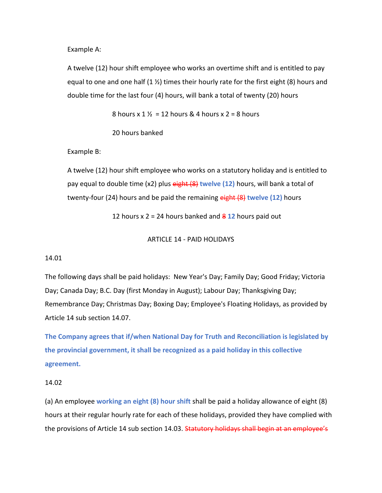Example A:

A twelve (12) hour shift employee who works an overtime shift and is entitled to pay equal to one and one half  $(1 \frac{1}{2})$  times their hourly rate for the first eight  $(8)$  hours and double time for the last four (4) hours, will bank a total of twenty (20) hours

8 hours x  $1\frac{1}{2}$  = 12 hours & 4 hours x 2 = 8 hours

20 hours banked

Example B:

A twelve (12) hour shift employee who works on a statutory holiday and is entitled to pay equal to double time (x2) plus eight (8) **twelve (12)** hours, will bank a total of twenty-four (24) hours and be paid the remaining eight (8) **twelve (12)** hours

12 hours x 2 = 24 hours banked and 8 **12** hours paid out

## ARTICLE 14 - PAID HOLIDAYS

## 14.01

The following days shall be paid holidays: New Year's Day; Family Day; Good Friday; Victoria Day; Canada Day; B.C. Day (first Monday in August); Labour Day; Thanksgiving Day; Remembrance Day; Christmas Day; Boxing Day; Employee's Floating Holidays, as provided by Article 14 sub section 14.07.

**The Company agrees that if/when National Day for Truth and Reconciliation is legislated by the provincial government, it shall be recognized as a paid holiday in this collective agreement.**

#### 14.02

(a) An employee **working an eight (8) hour shift** shall be paid a holiday allowance of eight (8) hours at their regular hourly rate for each of these holidays, provided they have complied with the provisions of Article 14 sub section 14.03. Statutory holidays shall begin at an employee's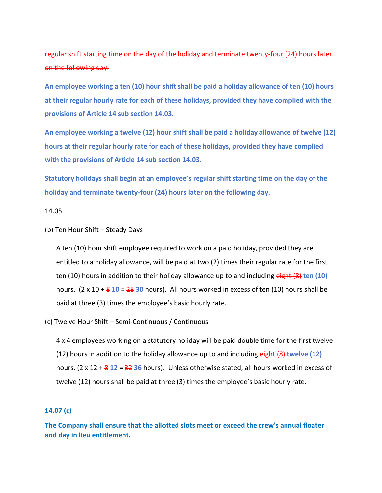# regular shift starting time on the day of the holiday and terminate twenty-four (24) hours later on the following day.

**An employee working a ten (10) hour shift shall be paid a holiday allowance of ten (10) hours at their regular hourly rate for each of these holidays, provided they have complied with the provisions of Article 14 sub section 14.03.** 

**An employee working a twelve (12) hour shift shall be paid a holiday allowance of twelve (12) hours at their regular hourly rate for each of these holidays, provided they have complied with the provisions of Article 14 sub section 14.03.** 

**Statutory holidays shall begin at an employee's regular shift starting time on the day of the holiday and terminate twenty-four (24) hours later on the following day.** 

#### 14.05

(b) Ten Hour Shift – Steady Days

A ten (10) hour shift employee required to work on a paid holiday, provided they are entitled to a holiday allowance, will be paid at two (2) times their regular rate for the first ten (10) hours in addition to their holiday allowance up to and including eight (8) **ten (10)** hours. (2 x 10 + 8 **10** = 28 **30** hours). All hours worked in excess of ten (10) hours shall be paid at three (3) times the employee's basic hourly rate.

(c) Twelve Hour Shift – Semi-Continuous / Continuous

4 x 4 employees working on a statutory holiday will be paid double time for the first twelve (12) hours in addition to the holiday allowance up to and including eight (8) **twelve (12)**  hours. (2 x 12 + 8 **12** = 32 **36** hours). Unless otherwise stated, all hours worked in excess of twelve (12) hours shall be paid at three (3) times the employee's basic hourly rate.

## **14.07 (c)**

**The Company shall ensure that the allotted slots meet or exceed the crew's annual floater and day in lieu entitlement.**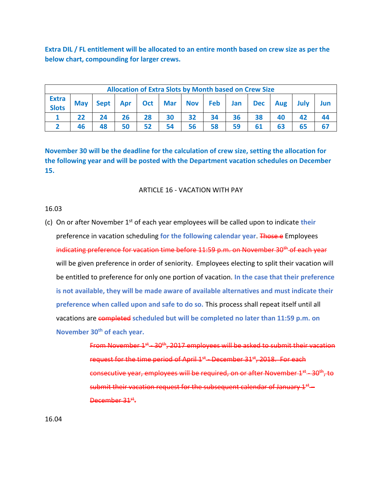**Extra DIL / FL entitlement will be allocated to an entire month based on crew size as per the below chart, compounding for larger crews.**

| <b>Allocation of Extra Slots by Month based on Crew Size</b> |            |    |    |    |    |    |    |    |    |                                                             |    |     |
|--------------------------------------------------------------|------------|----|----|----|----|----|----|----|----|-------------------------------------------------------------|----|-----|
| <b>Extra</b><br><b>Slots</b>                                 | <b>May</b> |    |    |    |    |    |    |    |    | Sept   Apr   Oct   Mar   Nov   Feb   Jan   Dec   Aug   July |    | Jun |
|                                                              |            |    | 26 | 28 | 30 | 32 | 34 | 36 | 38 | 40                                                          | 42 |     |
|                                                              |            | 48 | 50 | 52 | 54 | 56 | 58 | 59 |    |                                                             | 65 |     |

**November 30 will be the deadline for the calculation of crew size, setting the allocation for the following year and will be posted with the Department vacation schedules on December 15.** 

## ARTICLE 16 - VACATION WITH PAY

#### 16.03

(c) On or after November 1st of each year employees will be called upon to indicate **their** preference in vacation scheduling **for the following calendar year**. Those e Employees indicating preference for vacation time before 11:59 p.m. on November 30<sup>th</sup> of each year will be given preference in order of seniority. Employees electing to split their vacation will be entitled to preference for only one portion of vacation. **In the case that their preference is not available, they will be made aware of available alternatives and must indicate their preference when called upon and safe to do so.** This process shall repeat itself until all vacations are completed **scheduled but will be completed no later than 11:59 p.m. on November 30th of each year.**

> From November 1st - 30<sup>th</sup>, 2017 employees will be asked to submit their vacation request for the time period of April 1<sup>st</sup> – December 31<sup>st</sup>, 2018. For each consecutive year, employees will be required, on or after November 1<sup>st</sup>—30<sup>th</sup>, to submit their vacation request for the subsequent calendar of January  $1<sup>st</sup>$  – December 31<sup>st</sup>.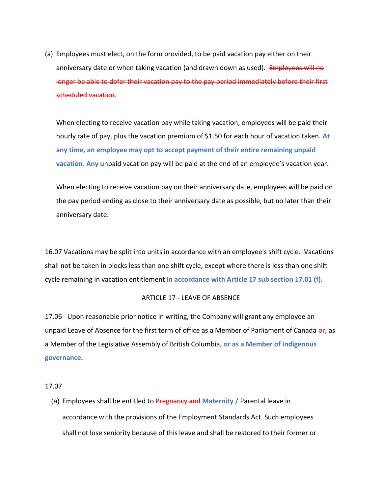(a) Employees must elect, on the form provided, to be paid vacation pay either on their anniversary date or when taking vacation (and drawn down as used). Employees will no longer be able to defer their vacation pay to the pay period immediately before their first scheduled vacation.

When electing to receive vacation pay while taking vacation, employees will be paid their hourly rate of pay, plus the vacation premium of \$1.50 for each hour of vacation taken. **At any time, an employee may opt to accept payment of their entire remaining unpaid vacation. Any u**npaid vacation pay will be paid at the end of an employee's vacation year.

When electing to receive vacation pay on their anniversary date, employees will be paid on the pay period ending as close to their anniversary date as possible, but no later than their anniversary date.

16.07 Vacations may be split into units in accordance with an employee's shift cycle. Vacations shall not be taken in blocks less than one shift cycle, except where there is less than one shift cycle remaining in vacation entitlement **in accordance with Article 17 sub section 17.01 (f).**

#### ARTICLE 17 - LEAVE OF ABSENCE

17.06 Upon reasonable prior notice in writing, the Company will grant any employee an unpaid Leave of Absence for the first term of office as a Member of Parliament of Canada-or, as a Member of the Legislative Assembly of British Columbia**, or as a Member of Indigenous governance.**

#### 17.07

(a) Employees shall be entitled to Pregnancy and **Maternity /** Parental leave in accordance with the provisions of the Employment Standards Act. Such employees shall not lose seniority because of this leave and shall be restored to their former or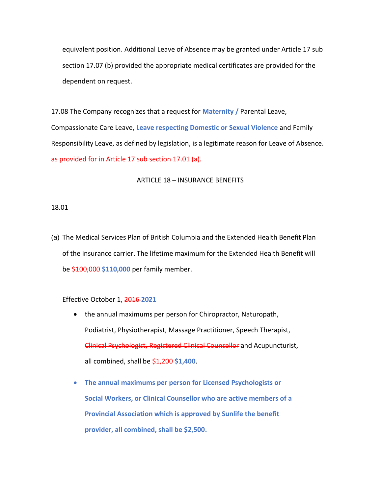equivalent position. Additional Leave of Absence may be granted under Article 17 sub section 17.07 (b) provided the appropriate medical certificates are provided for the dependent on request.

17.08 The Company recognizes that a request for **Maternity /** Parental Leave, Compassionate Care Leave, **Leave respecting Domestic or Sexual Violence** and Family Responsibility Leave, as defined by legislation, is a legitimate reason for Leave of Absence. as provided for in Article 17 sub section 17.01 (a).

#### ARTICLE 18 – INSURANCE BENEFITS

#### 18.01

(a) The Medical Services Plan of British Columbia and the Extended Health Benefit Plan of the insurance carrier. The lifetime maximum for the Extended Health Benefit will be \$100,000 **\$110,000** per family member.

#### Effective October 1, 2016 **2021**

- the annual maximums per person for Chiropractor, Naturopath, Podiatrist, Physiotherapist, Massage Practitioner, Speech Therapist, Clinical Psychologist, Registered Clinical Counsellor and Acupuncturist, all combined, shall be \$1,200 **\$1,400**.
- **The annual maximums per person for Licensed Psychologists or Social Workers, or Clinical Counsellor who are active members of a Provincial Association which is approved by Sunlife the benefit provider, all combined, shall be \$2,500.**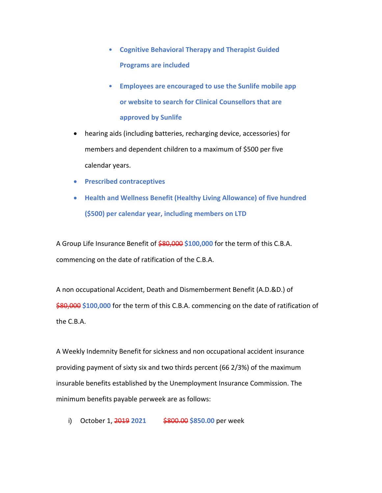- **Cognitive Behavioral Therapy and Therapist Guided Programs are included**
- **Employees are encouraged to use the Sunlife mobile app or website to search for Clinical Counsellors that are approved by Sunlife**
- hearing aids (including batteries, recharging device, accessories) for members and dependent children to a maximum of \$500 per five calendar years.
- **Prescribed contraceptives**
- **Health and Wellness Benefit (Healthy Living Allowance) of five hundred (\$500) per calendar year, including members on LTD**

A Group Life Insurance Benefit of \$80,000 **\$100,000** for the term of this C.B.A. commencing on the date of ratification of the C.B.A.

A non occupational Accident, Death and Dismemberment Benefit (A.D.&D.) of \$80,000 \$100,000 for the term of this C.B.A. commencing on the date of ratification of the C.B.A.

A Weekly Indemnity Benefit for sickness and non occupational accident insurance providing payment of sixty six and two thirds percent (66 2/3%) of the maximum insurable benefits established by the Unemployment Insurance Commission. The minimum benefits payable perweek are as follows:

i) October 1, 2019 2021 \$800.00 \$850.00 per week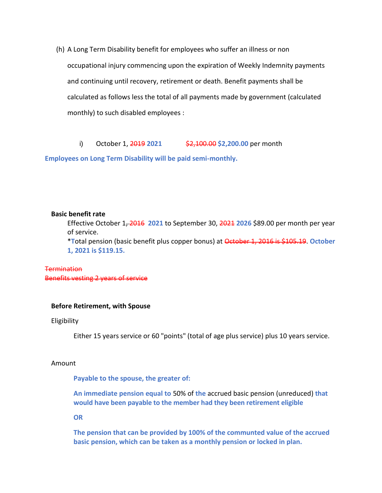(h) A Long Term Disability benefit for employees who suffer an illness or non occupational injury commencing upon the expiration of Weekly Indemnity payments and continuing until recovery, retirement or death. Benefit payments shall be calculated as follows less the total of all payments made by government (calculated monthly) to such disabled employees :

i) October 1, 2019 2021 \$2,100.00 \$2,200.00 per month

**Employees on Long Term Disability will be paid semi-monthly.**

#### **Basic benefit rate**

Effective October 1, 2016 **2021** to September 30, 2021 **2026** \$89.00 per month per year of service.

\***T**otal pension (basic benefit plus copper bonus) at October 1, 2016 is \$105.19. **October 1, 2021 is \$119.15.**

## **Termination** Benefits vesting 2 years of service

### **Before Retirement, with Spouse**

#### Eligibility

Either 15 years service or 60 "points" (total of age plus service) plus 10 years service.

#### Amount

**Payable to the spouse, the greater of:**

**An immediate pension equal to** 50% of **the** accrued basic pension (unreduced) **that would have been payable to the member had they been retirement eligible**

**OR**

**The pension that can be provided by 100% of the communted value of the accrued basic pension, which can be taken as a monthly pension or locked in plan.**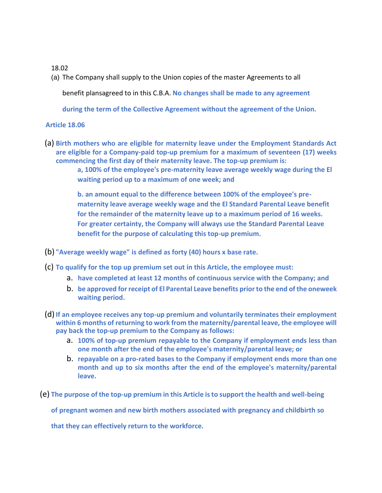## 18.02

(a) The Company shall supply to the Union copies of the master Agreements to all

benefit plansagreed to in this C.B.A. **No changes shall be made to any agreement** 

**during the term of the Collective Agreement without the agreement of the Union.**

## **Article 18.06**

(a) **Birth mothers who are eligible for maternity leave under the Employment Standards Act are eligible for a Company-paid top-up premium for a maximum of seventeen (17) weeks commencing the first day of their maternity leave. The top-up premium is:**

> **a, 100% of the employee's pre-maternity leave average weekly wage during the El waiting period up to a maximum of one week; and**

**b. an amount equal to the difference between 100% of the employee's prematernity leave average weekly wage and the El Standard Parental Leave benefit for the remainder of the maternity leave up to a maximum period of 16 weeks. For greater certainty, the Company will always use the Standard Parental Leave benefit for the purpose of calculating this top-up premium.**

- (b) **"Average weekly wage" is defined as forty (40) hours x base rate.**
- (c) **To qualify for the top up premium set out in this Article, the employee must:**
	- a. **have completed at least 12 months of continuous service with the Company; and**
	- b. **be approved for receipt of El Parental Leave benefits prior to the end of the oneweek waiting period.**
- (d)**If an employee receives any top-up premium and voluntarily terminates their employment within 6 months of returning to work from the maternity/parental leave, the employee will pay back the top-up premium to the Company as follows:**
	- a. **100% of top-up premium repayable to the Company if employment ends less than one month after the end of the employee's maternity/parental leave; or**
	- b. **repayable on a pro-rated bases to the Company if employment ends more than one month and up to six months after the end of the employee's maternity/parental leave.**
- (e) **The purpose of the top-up premium in this Article is to support the health and well-being**

**of pregnant women and new birth mothers associated with pregnancy and childbirth so** 

**that they can effectively return to the workforce.**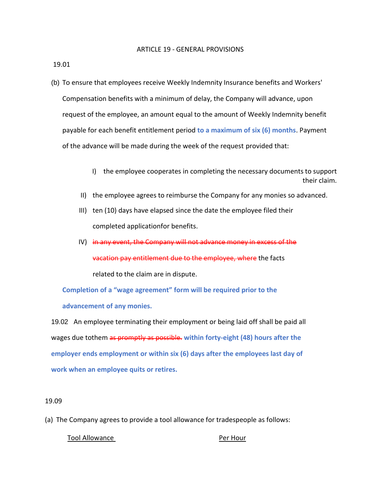#### ARTICLE 19 - GENERAL PROVISIONS

19.01

- (b) To ensure that employees receive Weekly Indemnity Insurance benefits and Workers' Compensation benefits with a minimum of delay, the Company will advance, upon request of the employee, an amount equal to the amount of Weekly Indemnity benefit payable for each benefit entitlement period **to a maximum of six (6) months**. Payment of the advance will be made during the week of the request provided that:
	- I) the employee cooperates in completing the necessary documents to support their claim.
	- II) the employee agrees to reimburse the Company for any monies so advanced.
	- III) ten (10) days have elapsed since the date the employee filed their completed applicationfor benefits.
	- IV) in any event, the Company will not advance money in excess of the vacation pay entitlement due to the employee, where the facts related to the claim are in dispute.

**Completion of a "wage agreement" form will be required prior to the advancement of any monies.**

19.02 An employee terminating their employment or being laid off shall be paid all wages due tothem as promptly as possible. **within forty-eight (48) hours after the employer ends employment or within six (6) days after the employees last day of work when an employee quits or retires.**

#### 19.09

(a) The Company agrees to provide a tool allowance for tradespeople as follows:

Tool Allowance **Per Hour**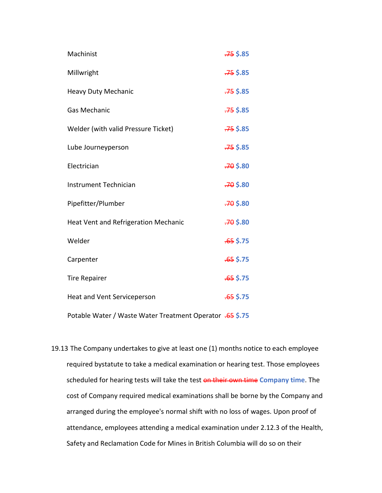| Machinist                            | $-75$ \$.85 |
|--------------------------------------|-------------|
| Millwright                           | $.75$ \$.85 |
| <b>Heavy Duty Mechanic</b>           | $-75$ \$.85 |
| Gas Mechanic                         | $-75$ \$.85 |
| Welder (with valid Pressure Ticket)  | $-75$ \$.85 |
| Lube Journeyperson                   | $-75$ \$.85 |
| Electrician                          | $-70$ \$.80 |
| Instrument Technician                | $-70$ \$.80 |
| Pipefitter/Plumber                   | $-70$ \$.80 |
| Heat Vent and Refrigeration Mechanic | $-70$ \$.80 |
| Welder                               | $.65$ \$.75 |
| Carpenter                            | $.65$ \$.75 |
| <b>Tire Repairer</b>                 | $.65$ \$.75 |
| Heat and Vent Serviceperson          | $.65$ \$.75 |

Potable Water / Waste Water Treatment Operator .65 **\$.75**

19.13 The Company undertakes to give at least one (1) months notice to each employee required bystatute to take a medical examination or hearing test. Those employees scheduled for hearing tests will take the test on their own time **Company time**. The cost of Company required medical examinations shall be borne by the Company and arranged during the employee's normal shift with no loss of wages. Upon proof of attendance, employees attending a medical examination under 2.12.3 of the Health, Safety and Reclamation Code for Mines in British Columbia will do so on their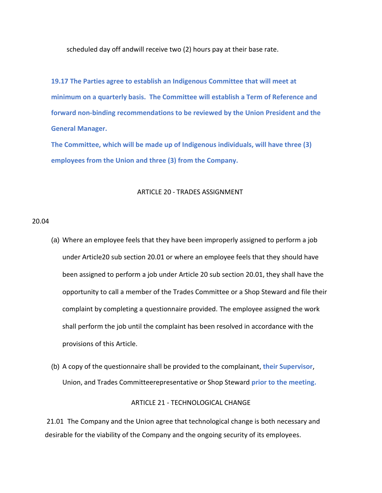scheduled day off andwill receive two (2) hours pay at their base rate.

**19.17 The Parties agree to establish an Indigenous Committee that will meet at minimum on a quarterly basis. The Committee will establish a Term of Reference and forward non-binding recommendations to be reviewed by the Union President and the General Manager.**

**The Committee, which will be made up of Indigenous individuals, will have three (3) employees from the Union and three (3) from the Company.**

#### ARTICLE 20 - TRADES ASSIGNMENT

#### 20.04

- (a) Where an employee feels that they have been improperly assigned to perform a job under Article20 sub section 20.01 or where an employee feels that they should have been assigned to perform a job under Article 20 sub section 20.01, they shall have the opportunity to call a member of the Trades Committee or a Shop Steward and file their complaint by completing a questionnaire provided. The employee assigned the work shall perform the job until the complaint has been resolved in accordance with the provisions of this Article.
- (b) A copy of the questionnaire shall be provided to the complainant, **their Supervisor**, Union, and Trades Committeerepresentative or Shop Steward **prior to the meeting.**

#### ARTICLE 21 - TECHNOLOGICAL CHANGE

21.01 The Company and the Union agree that technological change is both necessary and desirable for the viability of the Company and the ongoing security of its employees.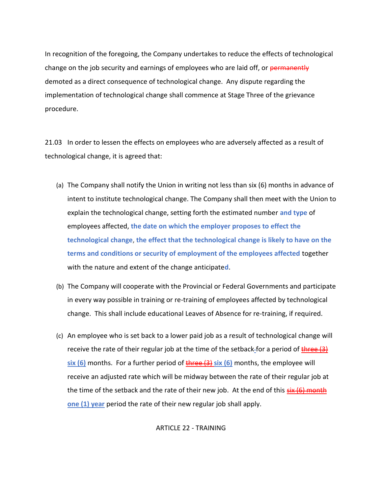In recognition of the foregoing, the Company undertakes to reduce the effects of technological change on the job security and earnings of employees who are laid off, or permanently demoted as a direct consequence of technological change. Any dispute regarding the implementation of technological change shall commence at Stage Three of the grievance procedure.

21.03 In order to lessen the effects on employees who are adversely affected as a result of technological change, it is agreed that:

- (a) The Company shall notify the Union in writing not less than six (6) months in advance of intent to institute technological change. The Company shall then meet with the Union to explain the technological change, setting forth the estimated number **and type** of employees affected, **the date on which the employer proposes to effect the technological change**, **the effect that the technological change is likely to have on the terms and conditions or security of employment of the employees affected** together with the nature and extent of the change anticipate**d**.
- (b) The Company will cooperate with the Provincial or Federal Governments and participate in every way possible in training or re-training of employees affected by technological change. This shall include educational Leaves of Absence for re-training, if required.
- (c) An employee who is set back to a lower paid job as a result of technological change will receive the rate of their regular job at the time of the setback-for a period of three (3) **six (6)** months. For a further period of three (3) **six (6)** months, the employee will receive an adjusted rate which will be midway between the rate of their regular job at the time of the setback and the rate of their new job. At the end of this  $s$ ix (6) month **one (1) year** period the rate of their new regular job shall apply.

ARTICLE 22 - TRAINING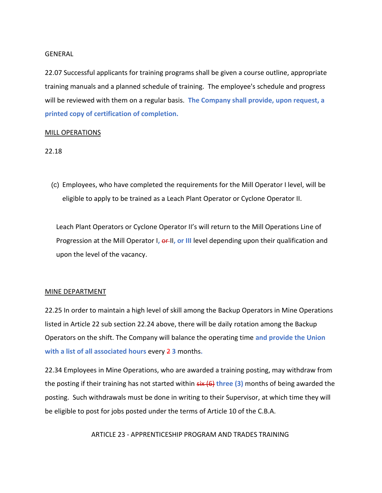#### GENERAL

22.07 Successful applicants for training programs shall be given a course outline, appropriate training manuals and a planned schedule of training. The employee's schedule and progress will be reviewed with them on a regular basis. **The Company shall provide, upon request, a printed copy of certification of completion.** 

#### MILL OPERATIONS

#### 22.18

(c) Employees, who have completed the requirements for the Mill Operator I level, will be eligible to apply to be trained as a Leach Plant Operator or Cyclone Operator II.

Leach Plant Operators or Cyclone Operator II's will return to the Mill Operations Line of Progression at the Mill Operator I, **er-II, or III** level depending upon their qualification and upon the level of the vacancy.

#### MINE DEPARTMENT

22.25 In order to maintain a high level of skill among the Backup Operators in Mine Operations listed in Article 22 sub section 22.24 above, there will be daily rotation among the Backup Operators on the shift. The Company will balance the operating time **and provide the Union with a list of all associated hours every 2 3 months.** 

22.34 Employees in Mine Operations, who are awarded a training posting, may withdraw from the posting if their training has not started within six (6) **three (3)** months of being awarded the posting. Such withdrawals must be done in writing to their Supervisor, at which time they will be eligible to post for jobs posted under the terms of Article 10 of the C.B.A.

ARTICLE 23 - APPRENTICESHIP PROGRAM AND TRADES TRAINING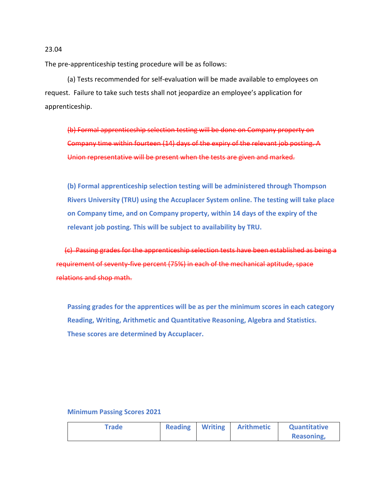The pre-apprenticeship testing procedure will be as follows:

(a) Tests recommended for self-evaluation will be made available to employees on request. Failure to take such tests shall not jeopardize an employee's application for apprenticeship.

(b) Formal apprenticeship selection testing will be done on Company property on Company time within fourteen (14) days of the expiry of the relevant job posting. A Union representative will be present when the tests are given and marked.

**(b) Formal apprenticeship selection testing will be administered through Thompson Rivers University (TRU) using the Accuplacer System online. The testing will take place on Company time, and on Company property, within 14 days of the expiry of the relevant job posting. This will be subject to availability by TRU.**

 (c) Passing grades for the apprenticeship selection tests have been established as being a requirement of seventy-five percent (75%) in each of the mechanical aptitude, space relations and shop math.

**Passing grades for the apprentices will be as per the minimum scores in each category Reading, Writing, Arithmetic and Quantitative Reasoning, Algebra and Statistics. These scores are determined by Accuplacer.**

# **Trade Reading Writing Arithmetic Quantitative Reasoning,**

#### **Minimum Passing Scores 2021**

#### 23.04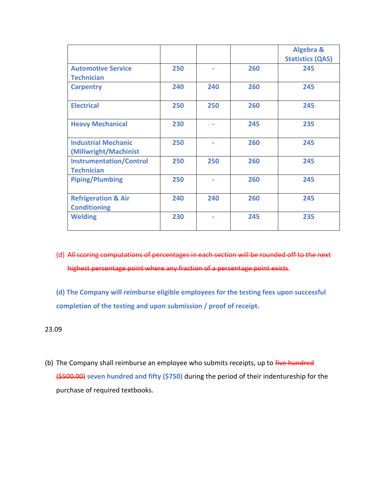|                                                       |     |     |     | <b>Algebra &amp;</b><br><b>Statistics (QAS)</b> |
|-------------------------------------------------------|-----|-----|-----|-------------------------------------------------|
| <b>Automotive Service</b><br><b>Technician</b>        | 250 |     | 260 | 245                                             |
| <b>Carpentry</b>                                      | 240 | 240 | 260 | 245                                             |
| <b>Electrical</b>                                     | 250 | 250 | 260 | 245                                             |
| <b>Heavy Mechanical</b>                               | 230 |     | 245 | 235                                             |
| <b>Industrial Mechanic</b><br>(Millwright/Machinist   | 250 |     | 260 | 245                                             |
| <b>Instrumentation/Control</b><br><b>Technician</b>   | 250 | 250 | 260 | 245                                             |
| <b>Piping/Plumbing</b>                                | 250 |     | 260 | 245                                             |
| <b>Refrigeration &amp; Air</b><br><b>Conditioning</b> | 240 | 240 | 260 | 245                                             |
| <b>Welding</b>                                        | 230 |     | 245 | 235                                             |

(d) All scoring computations of percentages in each section will be rounded off to the next highest percentage point where any fraction of a percentage point exists.

**(d) The Company will reimburse eligible employees for the testing fees upon successful completion of the testing and upon submission / proof of receipt.** 

23.09

(b) The Company shall reimburse an employee who submits receipts, up to five hundred (\$500.00) **seven hundred and fifty (\$750)** during the period of their indentureship for the purchase of required textbooks.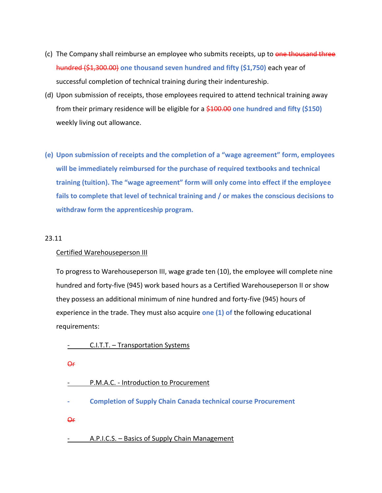- (c) The Company shall reimburse an employee who submits receipts, up to one thousand three hundred (\$1,300.00) **one thousand seven hundred and fifty (\$1,750)** each year of successful completion of technical training during their indentureship.
- (d) Upon submission of receipts, those employees required to attend technical training away from their primary residence will be eligible for a \$100.00 **one hundred and fifty (\$150)** weekly living out allowance.
- **(e) Upon submission of receipts and the completion of a "wage agreement" form, employees will be immediately reimbursed for the purchase of required textbooks and technical training (tuition). The "wage agreement" form will only come into effect if the employee fails to complete that level of technical training and / or makes the conscious decisions to withdraw form the apprenticeship program.**

## 23.11

#### Certified Warehouseperson III

To progress to Warehouseperson III, wage grade ten (10), the employee will complete nine hundred and forty-five (945) work based hours as a Certified Warehouseperson II or show they possess an additional minimum of nine hundred and forty-five (945) hours of experience in the trade. They must also acquire **one (1) of** the following educational requirements:

## C.I.T.T. - Transportation Systems

Or

| P.M.A.C. - Introduction to Procurement |
|----------------------------------------|
|                                        |

- **- Completion of Supply Chain Canada technical course Procurement**
- Or

## - A.P.I.C.S. – Basics of Supply Chain Management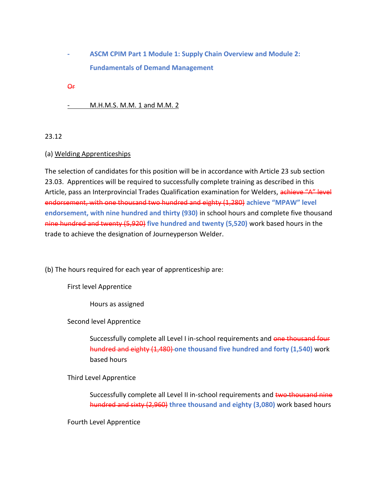**- ASCM CPIM Part 1 Module 1: Supply Chain Overview and Module 2: Fundamentals of Demand Management**

Or

## M.H.M.S. M.M. 1 and M.M. 2

## 23.12

## (a) Welding Apprenticeships

The selection of candidates for this position will be in accordance with Article 23 sub section 23.03. Apprentices will be required to successfully complete training as described in this Article, pass an Interprovincial Trades Qualification examination for Welders, achieve "A" level endorsement, with one thousand two hundred and eighty (1,280) **achieve "MPAW" level endorsement, with nine hundred and thirty (930)** in school hours and complete five thousand nine hundred and twenty (5,920) **five hundred and twenty (5,520)** work based hours in the trade to achieve the designation of Journeyperson Welder.

(b) The hours required for each year of apprenticeship are:

First level Apprentice

Hours as assigned

## Second level Apprentice

Successfully complete all Level I in-school requirements and one thousand four hundred and eighty (1,480) **one thousand five hundred and forty (1,540)** work based hours

Third Level Apprentice

Successfully complete all Level II in-school requirements and two thousand nine hundred and sixty (2,960) **three thousand and eighty (3,080)** work based hours

Fourth Level Apprentice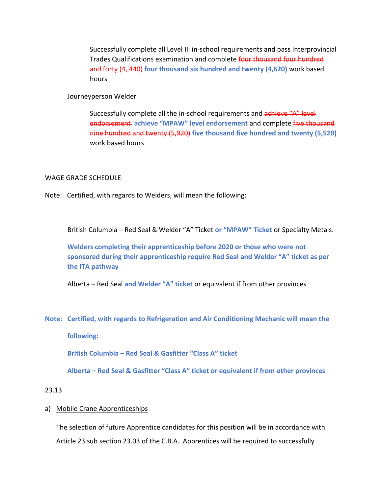Successfully complete all Level III in-school requirements and pass Interprovincial Trades Qualifications examination and complete four thousand four hundred and forty (4, 440) **four thousand six hundred and twenty (4,620)** work based hours

Journeyperson Welder

Successfully complete all the in-school requirements and achieve "A" level endorsement **achieve "MPAW" level endorsement** and complete five thousand nine hundred and twenty (5,920) **five thousand five hundred and twenty (5,520)** work based hours

#### WAGE GRADE SCHEDULE

Note: Certified, with regards to Welders, will mean the following:

British Columbia – Red Seal & Welder "A" Ticket **or "MPAW" Ticket** or Specialty Metals.

**Welders completing their apprenticeship before 2020 or those who were not sponsored during their apprenticeship require Red Seal and Welder "A" ticket as per the ITA pathway**

Alberta – Red Seal **and Welder "A" ticket** or equivalent if from other provinces

**Note: Certified, with regards to Refrigeration and Air Conditioning Mechanic will mean the** 

**following:**

**British Columbia – Red Seal & Gasfitter "Class A" ticket**

**Alberta – Red Seal & Gasfitter "Class A" ticket or equivalent if from other provinces**

## 23.13

a) Mobile Crane Apprenticeships

The selection of future Apprentice candidates for this position will be in accordance with Article 23 sub section 23.03 of the C.B.A. Apprentices will be required to successfully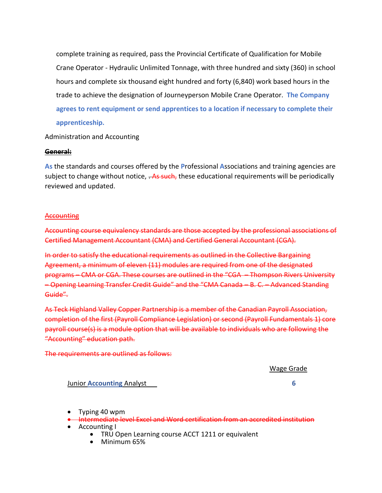complete training as required, pass the Provincial Certificate of Qualification for Mobile Crane Operator - Hydraulic Unlimited Tonnage, with three hundred and sixty (360) in school hours and complete six thousand eight hundred and forty (6,840) work based hours in the trade to achieve the designation of Journeyperson Mobile Crane Operator. **The Company agrees to rent equipment or send apprentices to a location if necessary to complete their apprenticeship.**

## Administration and Accounting

#### **General:**

**As** the standards and courses offered by the **P**rofessional **A**ssociations and training agencies are subject to change without notice,  $-$ As such, these educational requirements will be periodically reviewed and updated.

#### **Accounting**

Accounting course equivalency standards are those accepted by the professional associations of r<del>untant (CMA) and Cer</del>

In order to satisfy the educational requirements as outlined in the Collective Agreement, a minimum of eleven (11) modules are required from one of These courses are outlined in the – Opening Learning Transfer Credit Guide" and the "CMA Canada Guide".

As Teck Highland Valley Copper Partnership is a membe completion of the first (Payroll Compliance Legislation) or second (Payroll Fundamentals 1) core roll course(s) is a module option that will be "Accounting" education path.

#### The requirements are outlined as follows:

Wage Grade

#### Junior **Accounting** Analyst **6**

- Typing 40 wpm
- Intermediate level Excel and Word certification from an accredited institution
- Accounting I
	- TRU Open Learning course ACCT 1211 or equivalent
	- Minimum 65%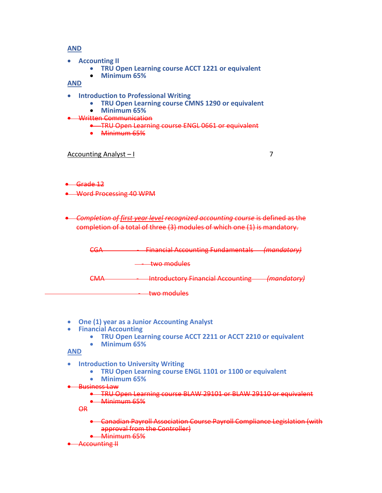## **AND**

- **Accounting II**
	- **TRU Open Learning course ACCT 1221 or equivalent**
	- **Minimum 65%**

**AND**

- **Introduction to Professional Writing** 
	- **TRU Open Learning course CMNS 1290 or equivalent**
	- **Minimum 65%**
- Written Communication
	- TRU Open Learning course ENGL 0661 or equivalent
	- Minimum 65%

#### Accounting Analyst – I 7

- Grade 12
- Word Processing 40 WPM
- *Completion of first year level recognized accounting course* is defined as the completion of a total of three (3) modules of which one (1) is mandatory.

| rr n<br>$\sim$         | <b>Financial Accounting Fundamentals (mandatory)</b>                                           |                      |
|------------------------|------------------------------------------------------------------------------------------------|----------------------|
|                        | two modulas<br><u>www.com www.com</u>                                                          |                      |
| ◠៱៸៱<br>$\blacksquare$ | Introductory Einancial Accounting (mandatory)<br><del>mavuuttoi y rindiitidi Attounang -</del> | <del>manautory</del> |
|                        | two modulas<br><u>two module</u>                                                               |                      |

- **One (1) year as a Junior Accounting Analyst**
- **Financial Accounting**
	- **TRU Open Learning course ACCT 2211 or ACCT 2210 or equivalent**
	- **Minimum 65%**

**AND**

- **Introduction to University Writing**
	- **TRU Open Learning course ENGL 1101 or 1100 or equivalent**
	- **Minimum 65%**

#### **Business Law**

• TRU Open Learning course BLAW 29101 or BLAW 29110 or equivalent • Minimum 65%

OR

- Canadian Payroll Association Course Payroll Compliance Legislation (with approval from the Controller)
- Minimum 65%
- Accounting II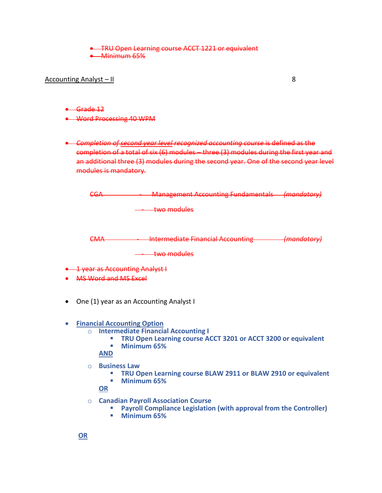• TRU Open Learning course ACCT 1221 or equivalent

• Minimum 65%

Accounting Analyst – II 8

• Grade 12

• Word Processing 40 WPM

• *Completion of second year level recognized accounting course* is defined as the completion of a total of six (6) modules – three (3) modules during the first year and an additional three (3) modules during the second year. One of the second year level modules is mandatory.

| rr 1<br>$-1$                          | <b>Management Accounting Fundamentals</b> | <del>(mandatory)</del> |
|---------------------------------------|-------------------------------------------|------------------------|
|                                       | <del>two modules</del>                    |                        |
| ⊂ΝΛ<br>----                           | <b>Intermediate Financial Accounting</b>  | <del>(mandatory)</del> |
|                                       | <del>two modules</del>                    |                        |
| <b>1 year as Accounting Analyst I</b> |                                           |                        |
| <b>MS Word and MS Excel</b>           |                                           |                        |

- One (1) year as an Accounting Analyst I
- **Financial Accounting Option**
	- o **Intermediate Financial Accounting I**
		- **TRU Open Learning course ACCT 3201 or ACCT 3200 or equivalent**
		- Minimum 65%

**AND**

- o **Business Law**
	- **TRU Open Learning course BLAW 2911 or BLAW 2910 or equivalent**
	- **Minimum 65%**

**OR**

- o **Canadian Payroll Association Course** 
	- **Payroll Compliance Legislation (with approval from the Controller)**
	- **Minimum 65%**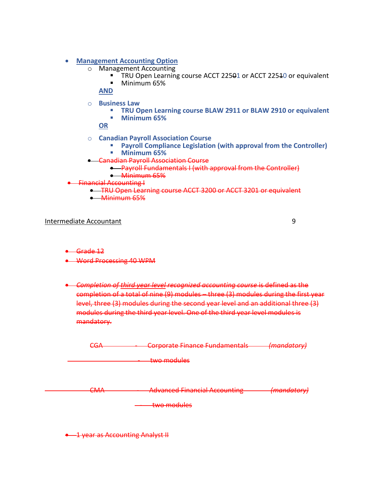### • **Management Accounting Option**

- o Management Accounting
	- TRU Open Learning course ACCT 22501 or ACCT 22510 or equivalent<br>■ Minimum 65%
	- Minimum 65%
	- **AND**
- o **Business Law**
	- **TRU Open Learning course BLAW 2911 or BLAW 2910 or equivalent**
	- **Minimum 65%**

**OR**

- o **Canadian Payroll Association Course** 
	- **Payroll Compliance Legislation (with approval from the Controller)**
	- **Minimum 65%**
- Canadian Payroll Association Course
	- Payroll Fundamentals I (with approval from the Controller) • Minimum 65%
- ancial Accounting I
	- TRU Open Learning course ACCT 3200 or ACCT 3201 or equivalent
	- Minimum 65%

#### Intermediate Accountant 9

- $\leftarrow$  Grade 12
- Word Processing 40 WPM
- *Completion of third year level recognized accounting course* is defined as the completion of a total of nine (9) modules – three (3) modules during the first year level, three (3) modules during the second year level and an additional three (3) modules during the third year level. One of the third year level modules is mandatory.

| ິ⊂∧<br>$\overline{\phantom{m}}$ | Cornorato Financo Fundamontale             | (mandatoni)          |
|---------------------------------|--------------------------------------------|----------------------|
|                                 | <del>corporate i mance i anuamentalo</del> | <del>THURSDUTT</del> |
|                                 |                                            |                      |
|                                 | two modules                                |                      |
|                                 | $\sqrt{2}$                                 |                      |

CMA - Advanced Financial Accounting *(mandatory)*

- two modules

• 1 year as Accounting Analyst II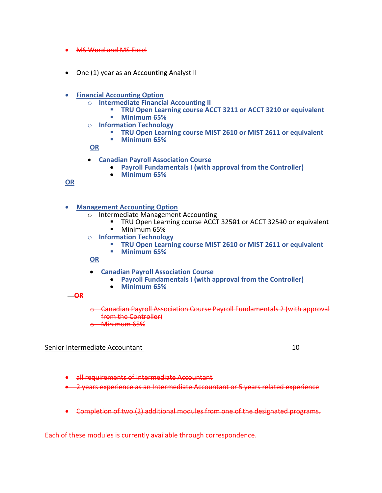- MS Word and MS Excel
- One (1) year as an Accounting Analyst II
- **Financial Accounting Option**
	- o **Intermediate Financial Accounting II**
		- **TRU Open Learning course ACCT 3211 or ACCT 3210 or equivalent**
		- **Minimum 65%**
	- o **Information Technology**
		- **TRU Open Learning course MIST 2610 or MIST 2611 or equivalent**<br>■ Minimum 65%
		- **Minimum 65%**

**OR**

- **Canadian Payroll Association Course** 
	- **Payroll Fundamentals I (with approval from the Controller)**
	- **Minimum 65%**

## **OR**

• **Management Accounting Option**

- o Intermediate Management Accounting
	- TRU Open Learning course ACCT 325<del>0</del>1 or ACCT 32540 or equivalent ■ Minimum 65%
- o **Information Technology**
	- **TRU Open Learning course MIST 2610 or MIST 2611 or equivalent**
	- **Minimum 65%**

**OR**

- **Canadian Payroll Association Course** 
	- **Payroll Fundamentals I (with approval from the Controller)**
	- **Minimum 65%**

#### **OR**

- o Canadian Payroll Association Course Payroll Fundamentals 2 (with approval from the Controller)
- Minimum 65%

## Senior Intermediate Accountant 10

• all requirements of Intermediate Accountant

• 2 years experience as an Intermediate Accountant or 5 years related experience

• Completion of two (2) additional modules from one of the designated programs.

Each of these modules is currently available through correspondence.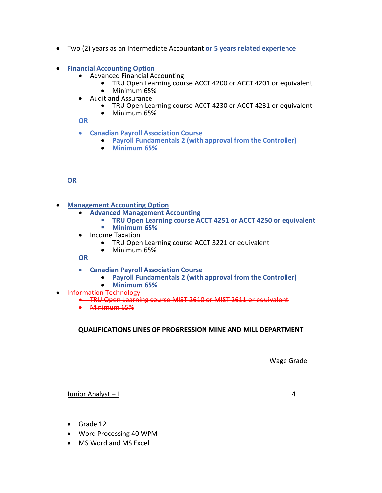- Two (2) years as an Intermediate Accountant **or 5 years related experience**
- **Financial Accounting Option**
	- Advanced Financial Accounting
		- TRU Open Learning course ACCT 4200 or ACCT 4201 or equivalent
		- Minimum 65%
	- Audit and Assurance
		- TRU Open Learning course ACCT 4230 or ACCT 4231 or equivalent
		- Minimum 65%

## **OR**

- **Canadian Payroll Association Course** 
	- **Payroll Fundamentals 2 (with approval from the Controller)**
	- **Minimum 65%**

## **OR**

- **Management Accounting Option**
	- **Advanced Management Accounting** 
		- **TRU Open Learning course ACCT 4251 or ACCT 4250 or equivalent Minimum 65%**
	- Income Taxation
		- TRU Open Learning course ACCT 3221 or equivalent
		- Minimum 65%

**OR**

- **Canadian Payroll Association Course** 
	- **Payroll Fundamentals 2 (with approval from the Controller)**
	- **Minimum 65%**
- **•** Information Technology
	- TRU Open Learning course MIST 2610 or MIST 2611 or equivalent
	- Minimum 65%

**QUALIFICATIONS LINES OF PROGRESSION MINE AND MILL DEPARTMENT**

Wage Grade

Junior Analyst – I 4

- Grade 12
- Word Processing 40 WPM
- MS Word and MS Excel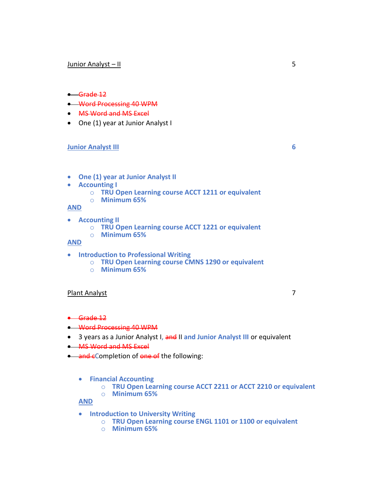#### Junior Analyst – II 5

#### • Grade 12

- Word Processing 40 WPM
- MS Word and MS Excel
- One (1) year at Junior Analyst I

#### **Junior Analyst III 6**

- **One (1) year at Junior Analyst II**
- **Accounting I**
	- o **TRU Open Learning course ACCT 1211 or equivalent**
	- o **Minimum 65%**

#### **AND**

- **Accounting II**
	- o **TRU Open Learning course ACCT 1221 or equivalent**
	- o **Minimum 65%**

## **AND**

- **Introduction to Professional Writing** 
	- o **TRU Open Learning course CMNS 1290 or equivalent**
	- o **Minimum 65%**

#### Plant Analyst 7

- Grade 12
- Word Processing 40 WPM
- 3 years as a Junior Analyst I, and II **and Junior Analyst III** or equivalent
- MS Word and MS Excel
- and eCompletion of one of the following:
	- **Financial Accounting**
		- o **TRU Open Learning course ACCT 2211 or ACCT 2210 or equivalent**
		- o **Minimum 65%**

#### **AND**

- **Introduction to University Writing**
	- o **TRU Open Learning course ENGL 1101 or 1100 or equivalent**
	- o **Minimum 65%**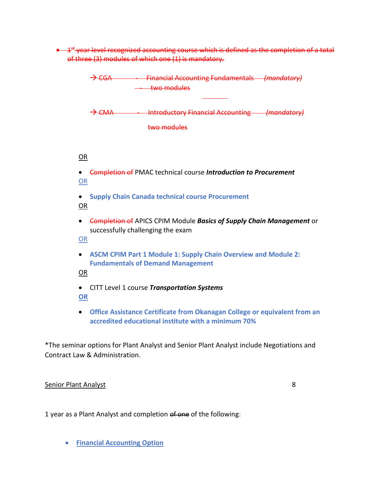• 1<sup>st</sup> year level recognized accounting course which is defined as the completion of a total of three (3) modules of which one (1) is mandatory.



\*The seminar options for Plant Analyst and Senior Plant Analyst include Negotiations and Contract Law & Administration.

## Senior Plant Analyst 8

1 year as a Plant Analyst and completion of one of the following:

• **Financial Accounting Option**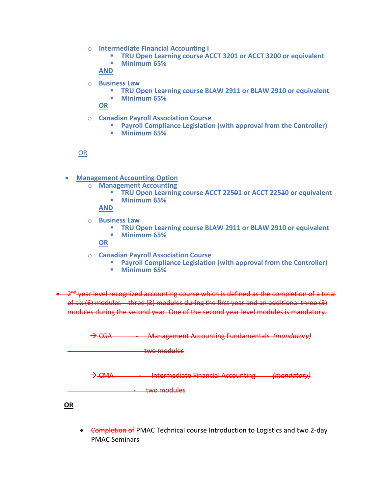- o **Intermediate Financial Accounting I**
	- **EXECT TRU Open Learning course ACCT 3201 or ACCT 3200 or equivalent**
	- **Minimum 65%**

**AND**

- o **Business Law**
	- **TRU Open Learning course BLAW 2911 or BLAW 2910 or equivalent**
	- **Minimum 65%**

**OR**

- o **Canadian Payroll Association Course** 
	- **Payroll Compliance Legislation (with approval from the Controller)**
	- **Minimum 65%**

OR

- **Management Accounting Option**
	- o **Management Accounting**
		- **EXECT 12501 TRU Open Learning course ACCT 22501 or ACCT 22540 or equivalent**
		- **Minimum 65%**

**AND**

- o **Business Law**
	- **TRU Open Learning course BLAW 2911 or BLAW 2910 or equivalent**
	- **Minimum 65%**

**OR**

- o **Canadian Payroll Association Course** 
	- **Payroll Compliance Legislation (with approval from the Controller)**
	- **Minimum 65%**
- 2<sup>nd</sup> year level recognized accounting course which is defined as the completion of a total of six (6) modules – three (3) modules during the first year and an additional three (3) modules during the second year. One of the second year level modules is mandatory.

→ CGA - Management Accounting Fundamentals *(mandatory)*

- two modules

→ CMA - Intermediate Financial Accounting *(mandatory)*

- two modules

**OR**

• <del>Completion of</del> PMAC Technical course Introduction to Logistics and two 2-day PMAC Seminars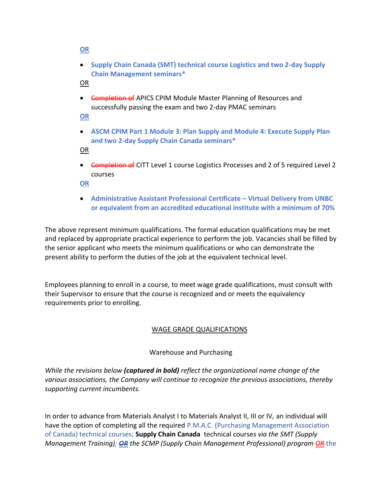### **OR**

• **Supply Chain Canada (SMT) technical course Logistics and two 2-day Supply Chain Management seminars\***

OR

• <del>Completion of</del> APICS CPIM Module Master Planning of Resources and successfully passing the exam and two 2-day PMAC seminars

**OR**

• **ASCM CPIM Part 1 Module 3: Plan Supply and Module 4: Execute Supply Plan and two 2-day Supply Chain Canada seminars\***

OR

• <del>Completion of</del> CITT Level 1 course Logistics Processes and 2 of 5 required Level 2 courses

**OR**

• **Administrative Assistant Professional Certificate – Virtual Delivery from UNBC or equivalent from an accredited educational institute with a minimum of 70%**

The above represent minimum qualifications. The formal education qualifications may be met and replaced by appropriate practical experience to perform the job. Vacancies shall be filled by the senior applicant who meets the minimum qualifications or who can demonstrate the present ability to perform the duties of the job at the equivalent technical level.

Employees planning to enroll in a course, to meet wage grade qualifications, must consult with their Supervisor to ensure that the course is recognized and or meets the equivalency requirements prior to enrolling.

## WAGE GRADE QUALIFICATIONS

## Warehouse and Purchasing

*While the revisions below (captured in bold) reflect the organizational name change of the various associations, the Company will continue to recognize the previous associations, thereby supporting current incumbents.*

In order to advance from Materials Analyst I to Materials Analyst II, III or IV, an individual will have the option of completing all the required P.M.A.C. (Purchasing Management Association of Canada) technical courses; **Supply Chain Canada** technical courses *via the SMT (Supply Management Training); OR the SCMP (Supply Chain Management Professional) program OR* the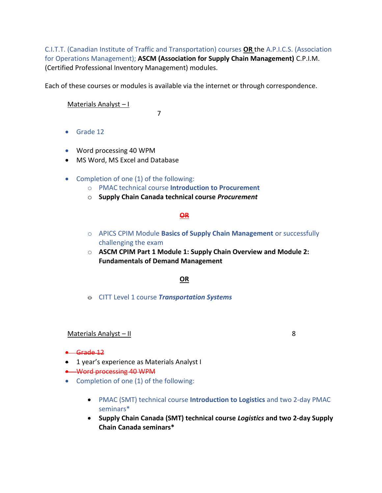C.I.T.T. (Canadian Institute of Traffic and Transportation) courses **OR** the A.P.I.C.S. (Association for Operations Management); **ASCM (Association for Supply Chain Management)** C.P.I.M. (Certified Professional Inventory Management) modules.

Each of these courses or modules is available via the internet or through correspondence.

Materials Analyst – I

7

- Grade 12
- Word processing 40 WPM
- MS Word, MS Excel and Database
- Completion of one (1) of the following:
	- o PMAC technical course **Introduction to Procurement**
	- o **Supply Chain Canada technical course** *Procurement*

## **OR**

- o APICS CPIM Module **Basics of Supply Chain Management** or successfully challenging the exam
- o **ASCM CPIM Part 1 Module 1: Supply Chain Overview and Module 2: Fundamentals of Demand Management**

## **OR**

o CITT Level 1 course *Transportation Systems*

#### Materials Analyst – II  $\blacksquare$

- Grade 12
- 1 year's experience as Materials Analyst I
- Word processing 40 WPM
- Completion of one (1) of the following:
	- PMAC (SMT) technical course **Introduction to Logistics** and two 2-day PMAC seminars\*
	- **Supply Chain Canada (SMT) technical course** *Logistics* **and two 2-day Supply Chain Canada seminars\***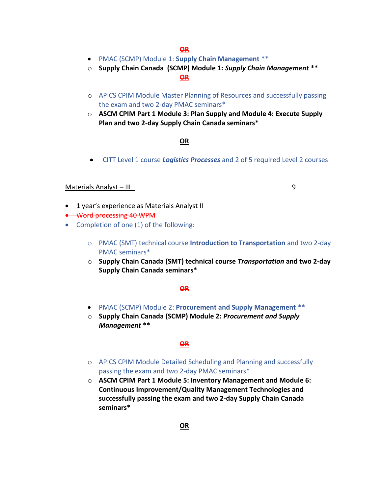- PMAC (SCMP) Module 1: **Supply Chain Management** \*\*
- o **Supply Chain Canada (SCMP) Module 1:** *Supply Chain Management* **\*\***

### **OR**

- o APICS CPIM Module Master Planning of Resources and successfully passing the exam and two 2-day PMAC seminars\*
- o **ASCM CPIM Part 1 Module 3: Plan Supply and Module 4: Execute Supply Plan and two 2-day Supply Chain Canada seminars\***

#### **OR**

• CITT Level 1 course *Logistics Processes* and 2 of 5 required Level 2 courses

#### Materials Analyst – III 9

- 1 year's experience as Materials Analyst II
- Word processing 40 WPM
- Completion of one (1) of the following:
	- o PMAC (SMT) technical course **Introduction to Transportation** and two 2-day PMAC seminars\*
	- o **Supply Chain Canada (SMT) technical course** *Transportation* **and two 2-day Supply Chain Canada seminars\***

### **OR**

- PMAC (SCMP) Module 2: **Procurement and Supply Management** \*\*
- o **Supply Chain Canada (SCMP) Module 2:** *Procurement and Supply Management* **\*\***

#### **OR**

- o APICS CPIM Module Detailed Scheduling and Planning and successfully passing the exam and two 2-day PMAC seminars\*
- o **ASCM CPIM Part 1 Module 5: Inventory Management and Module 6: Continuous Improvement/Quality Management Technologies and successfully passing the exam and two 2-day Supply Chain Canada seminars\***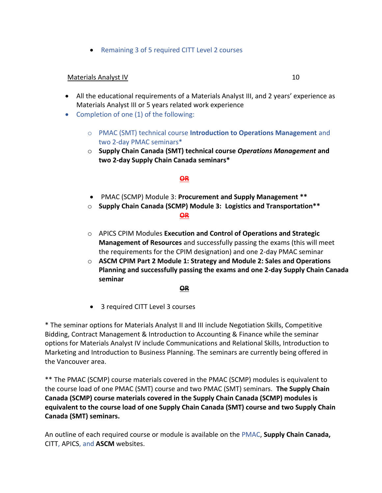• Remaining 3 of 5 required CITT Level 2 courses

## Materials Analyst IV 10

- All the educational requirements of a Materials Analyst III, and 2 years' experience as Materials Analyst III or 5 years related work experience
- Completion of one (1) of the following:
	- o PMAC (SMT) technical course **Introduction to Operations Management** and two 2-day PMAC seminars\*
	- o **Supply Chain Canada (SMT) technical course** *Operations Management* **and two 2-day Supply Chain Canada seminars\***

## **OR**

- PMAC (SCMP) Module 3: **Procurement and Supply Management \*\***
- o **Supply Chain Canada (SCMP) Module 3: Logistics and Transportation\*\* OR**
- o APICS CPIM Modules **Execution and Control of Operations and Strategic Management of Resources** and successfully passing the exams (this will meet the requirements for the CPIM designation) and one 2-day PMAC seminar
- o **ASCM CPIM Part 2 Module 1: Strategy and Module 2: Sales and Operations Planning and successfully passing the exams and one 2-day Supply Chain Canada seminar**

#### **OR**

• 3 required CITT Level 3 courses

\* The seminar options for Materials Analyst II and III include Negotiation Skills, Competitive Bidding, Contract Management & Introduction to Accounting & Finance while the seminar options for Materials Analyst IV include Communications and Relational Skills, Introduction to Marketing and Introduction to Business Planning. The seminars are currently being offered in the Vancouver area.

\*\* The PMAC (SCMP) course materials covered in the PMAC (SCMP) modules is equivalent to the course load of one PMAC (SMT) course and two PMAC (SMT) seminars. **The Supply Chain Canada (SCMP) course materials covered in the Supply Chain Canada (SCMP) modules is equivalent to the course load of one Supply Chain Canada (SMT) course and two Supply Chain Canada (SMT) seminars.** 

An outline of each required course or module is available on the PMAC, **Supply Chain Canada,** CITT, APICS, and **ASCM** websites.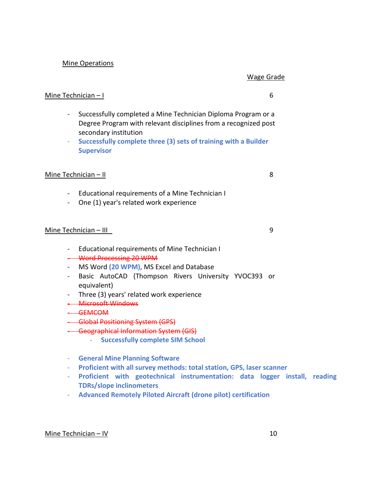#### Mine Operations

#### Wage Grade

#### Mine Technician – I 6

- Successfully completed a Mine Technician Diploma Program or a Degree Program with relevant disciplines from a recognized post secondary institution
- **Successfully complete three (3) sets of training with a Builder Supervisor**

#### Mine Technician – II 8

- Educational requirements of a Mine Technician I
- One (1) year's related work experience

#### Mine Technician – III

- Educational requirements of Mine Technician I
- Word Processing 20 WPM
- MS Word **(20 WPM),** MS Excel and Database
- Basic AutoCAD (Thompson Rivers University YVOC393 or equivalent)
- Three (3) years' related work experience
- Microsoft Windows
- GEMCOM
- Global Positioning System (GPS)
- Geographical Information System (GIS)
	- **Successfully complete SIM School**
- **General Mine Planning Software**
- **Proficient with all survey methods: total station, GPS, laser scanner**
- **Proficient with geotechnical instrumentation: data logger install, reading TDRs/slope inclinometers**
- **Advanced Remotely Piloted Aircraft (drone pilot) certification**

#### Mine Technician – IV 10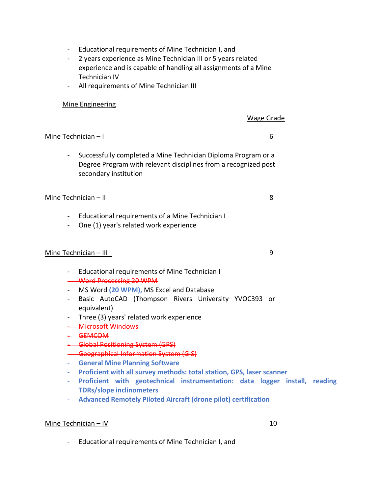- Educational requirements of Mine Technician I, and
- 2 years experience as Mine Technician III or 5 years related experience and is capable of handling all assignments of a Mine Technician IV
- All requirements of Mine Technician III

## Mine Engineering

### Wage Grade

## Mine Technician – I 6

- Successfully completed a Mine Technician Diploma Program or a Degree Program with relevant disciplines from a recognized post secondary institution

### $Mine Technician - II$  8

- Educational requirements of a Mine Technician I
- One (1) year's related work experience

## Mine Technician – III

- Educational requirements of Mine Technician I
- Word Processing 20 WPM
- MS Word **(20 WPM),** MS Excel and Database
- Basic AutoCAD (Thompson Rivers University YVOC393 or equivalent)
- Three (3) years' related work experience
- Microsoft Windows
- GEMCOM
- Global Positioning System (GPS)
- Geographical Information System (GIS)
- **General Mine Planning Software**
- **Proficient with all survey methods: total station, GPS, laser scanner**
- **Proficient with geotechnical instrumentation: data logger install, reading TDRs/slope inclinometers**
- **Advanced Remotely Piloted Aircraft (drone pilot) certification**

#### Mine Technician – IV 10

- Educational requirements of Mine Technician I, and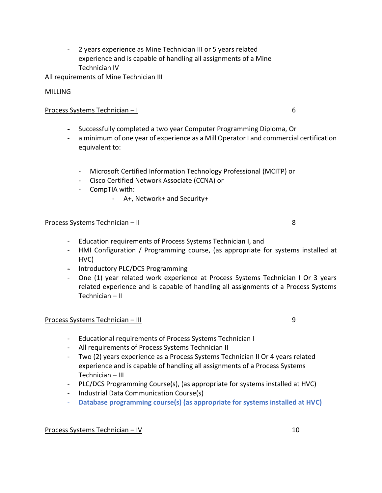- 2 years experience as Mine Technician III or 5 years related experience and is capable of handling all assignments of a Mine Technician IV

All requirements of Mine Technician III

## MILLING

## Process Systems Technician – I 6

- Successfully completed a two year Computer Programming Diploma, Or
- a minimum of one year of experience as a Mill Operator I and commercial certification equivalent to:
	- Microsoft Certified Information Technology Professional (MCITP) or
	- Cisco Certified Network Associate (CCNA) or
	- CompTIA with:
		- A+, Network+ and Security+

## Process Systems Technician – II 8

- Education requirements of Process Systems Technician I, and
- HMI Configuration / Programming course, (as appropriate for systems installed at HVC)
- Introductory PLC/DCS Programming
- One (1) year related work experience at Process Systems Technician I Or 3 years related experience and is capable of handling all assignments of a Process Systems Technician – II

## Process Systems Technician – III 9

- Educational requirements of Process Systems Technician I
- All requirements of Process Systems Technician II
- Two (2) years experience as a Process Systems Technician II Or 4 years related experience and is capable of handling all assignments of a Process Systems Technician – III
- PLC/DCS Programming Course(s), (as appropriate for systems installed at HVC)
- Industrial Data Communication Course(s)
- **Database programming course(s) (as appropriate for systems installed at HVC)**

## Process Systems Technician – IV 10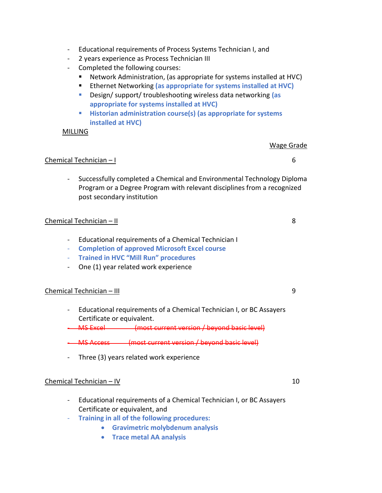- Educational requirements of Process Systems Technician I, and
- 2 years experience as Process Technician III
- Completed the following courses:
	- Network Administration, (as appropriate for systems installed at HVC)
	- Ethernet Networking (as appropriate for systems installed at HVC)
	- Design/ support/ troubleshooting wireless data networking **(as appropriate for systems installed at HVC)**
	- **Historian administration course(s) (as appropriate for systems installed at HVC)**

### MILLING

## Wage Grade

## Chemical Technician – I 6

- Successfully completed a Chemical and Environmental Technology Diploma Program or a Degree Program with relevant disciplines from a recognized post secondary institution

## Chemical Technician – II 8

- Educational requirements of a Chemical Technician I
- **Completion of approved Microsoft Excel course**
- **Trained in HVC "Mill Run" procedures**
- One (1) year related work experience

## Chemical Technician – III 9

- Educational requirements of a Chemical Technician I, or BC Assayers Certificate or equivalent.

- MS Excel (most current version / beyond basic level)

- MS Access (most current version / beyond basic level)

- Three (3) years related work experience

## Chemical Technician – IV 10

- Educational requirements of a Chemical Technician I, or BC Assayers Certificate or equivalent, and
- **Training in all of the following procedures:**
	- **Gravimetric molybdenum analysis**
	- **Trace metal AA analysis**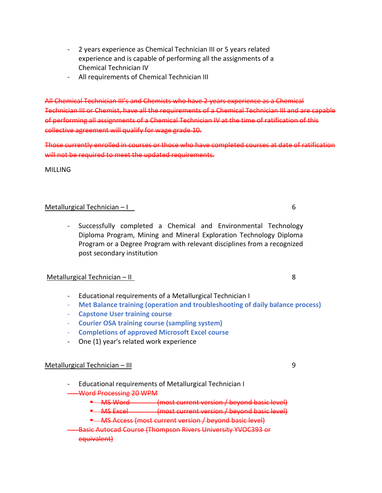- 2 years experience as Chemical Technician III or 5 years related experience and is capable of performing all the assignments of a Chemical Technician IV
- All requirements of Chemical Technician III

All Chemical Technician III's and Chemists who have 2 years experience as a Chemical Technician III or Chemist, have all the requirements of a Chemical Technician III and are capable of performing all assignments of a Chemical Technician IV at the time of ratification of this collective agreement will qualify for wage grade 10.

Those currently enrolled in courses or those who have completed courses at date of ratification will not be required to meet the updated requirements.

MILLING

## Metallurgical Technician – I 6

- Successfully completed a Chemical and Environmental Technology Diploma Program, Mining and Mineral Exploration Technology Diploma Program or a Degree Program with relevant disciplines from a recognized post secondary institution

## Metallurgical Technician – II

- Educational requirements of a Metallurgical Technician I
- **Met Balance training (operation and troubleshooting of daily balance process)**
- **Capstone User training course**
- **Courier OSA training course (sampling system)**
- **Completions of approved Microsoft Excel course**
- One (1) year's related work experience

## Metallurgical Technician – III 9

- Educational requirements of Metallurgical Technician I
- Word Processing 20 WPM
	- **E** MS Word (most current version / beyond basic level)
	- **E** MS Excel (most current version / beyond basic level)
	- **E** MS Access (most current version / beyond basic level)
- Basic Autocad Course (Thompson Rivers University YVOC393 or equivalent)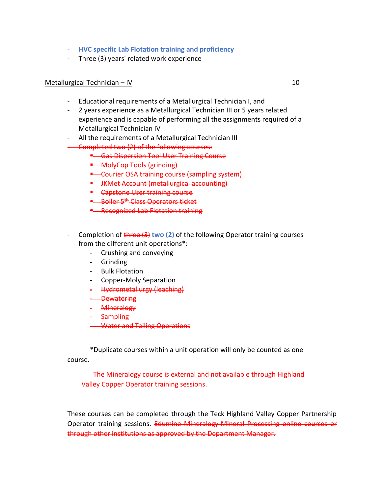- **HVC specific Lab Flotation training and proficiency**
- Three (3) years' related work experience

#### Metallurgical Technician – IV 10

- Educational requirements of a Metallurgical Technician I, and
- 2 years experience as a Metallurgical Technician III or 5 years related experience and is capable of performing all the assignments required of a Metallurgical Technician IV
- All the requirements of a Metallurgical Technician III
- Completed two (2) of the following courses:
	- Gas Dispersion Tool User Training Course
	- MolyCop Tools (grinding)
	- Courier OSA training course (sampling system)
	- JKMet Account (metallurgical accounting)
	- Capstone User training course
	- **E** Boiler 5<sup>th</sup> Class Operators ticket
	- Recognized Lab Flotation training
- Completion of three (3) **two (2)** of the following Operator training courses from the different unit operations\*:
	- Crushing and conveying
	- Grinding
	- Bulk Flotation
	- Copper-Moly Separation
	- **-** Hydrometallurgy (leaching)
	- Dewatering
	- **Mineralogy**
	- **Sampling**
	- **Water and Tailing Operations**

\*Duplicate courses within a unit operation will only be counted as one course.

 The Mineralogy course is external and not available through Highland Valley Copper Operator training sessions.

These courses can be completed through the Teck Highland Valley Copper Partnership Operator training sessions. Edumine Mineralogy Mineral Processing online courses or through other institutions as approved by the Department Manager.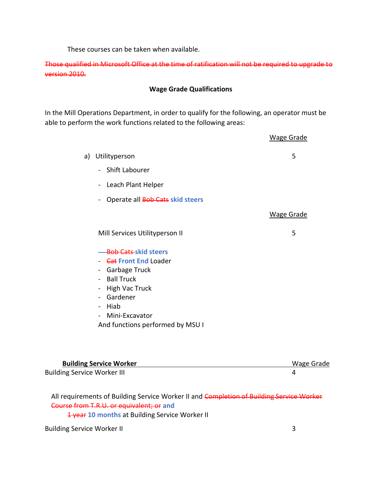These courses can be taken when available.

Those qualified in Microsoft Office at the time of ratification will not be required to upgrade to version 2010.

## **Wage Grade Qualifications**

In the Mill Operations Department, in order to qualify for the following, an operator must be able to perform the work functions related to the following areas:

|    |                                                                                                                                                                                                                                         | <b>Wage Grade</b> |
|----|-----------------------------------------------------------------------------------------------------------------------------------------------------------------------------------------------------------------------------------------|-------------------|
| a) | Utilityperson                                                                                                                                                                                                                           | 5                 |
|    | Shift Labourer                                                                                                                                                                                                                          |                   |
|    | Leach Plant Helper<br>$\blacksquare$                                                                                                                                                                                                    |                   |
|    | Operate all Bob Cats skid steers                                                                                                                                                                                                        |                   |
|    |                                                                                                                                                                                                                                         | <b>Wage Grade</b> |
|    | Mill Services Utilityperson II                                                                                                                                                                                                          | 5                 |
|    | <b>Bob Cats skid steers</b><br>- <del>Cat</del> Front End Loader<br>- Garbage Truck<br>- Ball Truck<br>High Vac Truck<br>$\blacksquare$<br>- Gardener<br>- Hiab<br>Mini-Excavator<br>$\blacksquare$<br>And functions performed by MSU I |                   |

| <b>Building Service Worker</b>     | Wage Grade |
|------------------------------------|------------|
| <b>Building Service Worker III</b> |            |

All requirements of Building Service Worker II and Completion of Building Service Worker Course from T.R.U. or equivalent; or **and**

**1 year 10 months** at Building Service Worker II

Building Service Worker II 3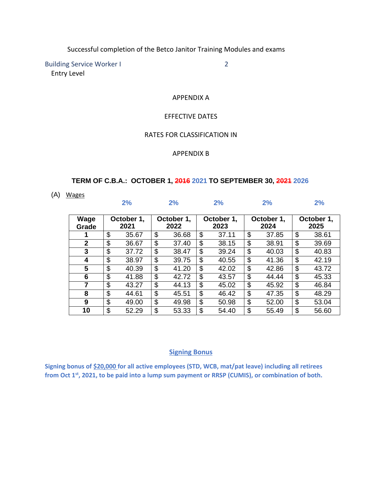Successful completion of the Betco Janitor Training Modules and exams

Building Service Worker I 2 Entry Level

APPENDIX A

#### EFFECTIVE DATES

## RATES FOR CLASSIFICATION IN

#### APPENDIX B

#### **TERM OF C.B.A.: OCTOBER 1, 2016 2021 TO SEPTEMBER 30, 2021 2026**

(A) Wages

|                |                    | 2%    |                    | 2%    |                    | 2%    |                    | 2%    |                    | 2%    |
|----------------|--------------------|-------|--------------------|-------|--------------------|-------|--------------------|-------|--------------------|-------|
| Wage<br>Grade  | October 1,<br>2021 |       | October 1,<br>2022 |       | October 1,<br>2023 |       | October 1,<br>2024 |       | October 1,<br>2025 |       |
|                | \$                 | 35.67 | \$                 | 36.68 | \$                 | 37.11 | \$                 | 37.85 | \$                 | 38.61 |
| $\overline{2}$ | \$                 | 36.67 | \$                 | 37.40 | \$                 | 38.15 | \$                 | 38.91 | \$                 | 39.69 |
| 3              | \$                 | 37.72 | \$                 | 38.47 | \$                 | 39.24 | \$                 | 40.03 | \$                 | 40.83 |
| 4              | \$                 | 38.97 | \$                 | 39.75 | \$                 | 40.55 | \$                 | 41.36 | \$                 | 42.19 |
| 5              | \$                 | 40.39 | \$                 | 41.20 | \$                 | 42.02 | \$                 | 42.86 | \$                 | 43.72 |
| 6              | \$                 | 41.88 | \$                 | 42.72 | \$                 | 43.57 | \$                 | 44.44 | \$                 | 45.33 |
| 7              | \$                 | 43.27 | \$                 | 44.13 | \$                 | 45.02 | \$                 | 45.92 | \$                 | 46.84 |
| 8              | \$                 | 44.61 | \$                 | 45.51 | \$                 | 46.42 | \$                 | 47.35 | \$                 | 48.29 |
| 9              | \$                 | 49.00 | \$                 | 49.98 | \$                 | 50.98 | \$                 | 52.00 | \$                 | 53.04 |
| 10             | \$                 | 52.29 | \$                 | 53.33 | \$                 | 54.40 | \$                 | 55.49 | \$                 | 56.60 |

#### **Signing Bonus**

**Signing bonus of \$20,000 for all active employees (STD, WCB, mat/pat leave) including all retirees from Oct 1st, 2021, to be paid into a lump sum payment or RRSP (CUMIS), or combination of both.**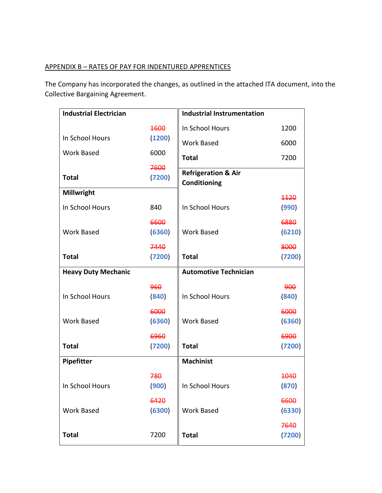## APPENDIX B – RATES OF PAY FOR INDENTURED APPRENTICES

The Company has incorporated the changes, as outlined in the attached ITA document, into the Collective Bargaining Agreement.

| <b>Industrial Electrician</b> |        | <b>Industrial Instrumentation</b>              |               |
|-------------------------------|--------|------------------------------------------------|---------------|
|                               | 1600   | In School Hours                                | 1200          |
| In School Hours               | (1200) | <b>Work Based</b>                              | 6000          |
| <b>Work Based</b>             | 6000   | <b>Total</b>                                   | 7200          |
|                               | 7600   |                                                |               |
| <b>Total</b>                  | (7200) | <b>Refrigeration &amp; Air</b><br>Conditioning |               |
| Millwright                    |        |                                                |               |
| In School Hours               | 840    | In School Hours                                | 4420<br>(990) |
|                               |        |                                                |               |
|                               | 6600   |                                                | 6880          |
| <b>Work Based</b>             | (6360) | <b>Work Based</b>                              | (6210)        |
|                               | 7440   |                                                | 8000          |
| <b>Total</b>                  | (7200) | <b>Total</b>                                   | (7200)        |
| <b>Heavy Duty Mechanic</b>    |        | <b>Automotive Technician</b>                   |               |
|                               | 960    |                                                | 900           |
| In School Hours               | (840)  | In School Hours                                | (840)         |
|                               | 6000   |                                                | 6000          |
| <b>Work Based</b>             | (6360) | <b>Work Based</b>                              | (6360)        |
|                               | 6960   |                                                | 6900          |
| <b>Total</b>                  | (7200) | <b>Total</b>                                   | (7200)        |
| Pipefitter                    |        | <b>Machinist</b>                               |               |
|                               |        |                                                |               |
|                               | 780    | In School Hours                                | 4040          |
| In School Hours               | (900)  |                                                | (870)         |
|                               | 6420   |                                                | 6600          |
| <b>Work Based</b>             | (6300) | <b>Work Based</b>                              | (6330)        |
|                               |        |                                                | 7640          |
| <b>Total</b>                  | 7200   | <b>Total</b>                                   | (7200)        |
|                               |        |                                                |               |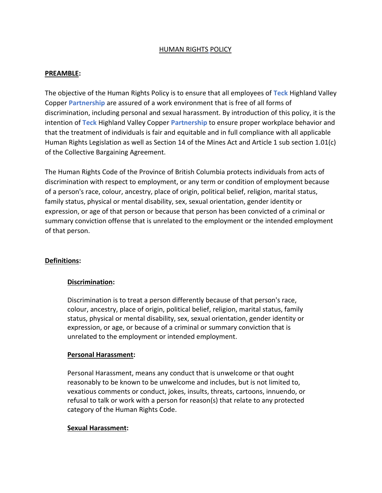## HUMAN RIGHTS POLICY

## **PREAMBLE:**

The objective of the Human Rights Policy is to ensure that all employees of **Teck** Highland Valley Copper **Partnership** are assured of a work environment that is free of all forms of discrimination, including personal and sexual harassment. By introduction of this policy, it is the intention of **Teck** Highland Valley Copper **Partnership** to ensure proper workplace behavior and that the treatment of individuals is fair and equitable and in full compliance with all applicable Human Rights Legislation as well as Section 14 of the Mines Act and Article 1 sub section 1.01(c) of the Collective Bargaining Agreement.

The Human Rights Code of the Province of British Columbia protects individuals from acts of discrimination with respect to employment, or any term or condition of employment because of a person's race, colour, ancestry, place of origin, political belief, religion, marital status, family status, physical or mental disability, sex, sexual orientation, gender identity or expression, or age of that person or because that person has been convicted of a criminal or summary conviction offense that is unrelated to the employment or the intended employment of that person.

## **Definitions:**

## **Discrimination:**

Discrimination is to treat a person differently because of that person's race, colour, ancestry, place of origin, political belief, religion, marital status, family status, physical or mental disability, sex, sexual orientation, gender identity or expression, or age, or because of a criminal or summary conviction that is unrelated to the employment or intended employment.

## **Personal Harassment:**

Personal Harassment, means any conduct that is unwelcome or that ought reasonably to be known to be unwelcome and includes, but is not limited to, vexatious comments or conduct, jokes, insults, threats, cartoons, innuendo, or refusal to talk or work with a person for reason(s) that relate to any protected category of the Human Rights Code.

## **Sexual Harassment:**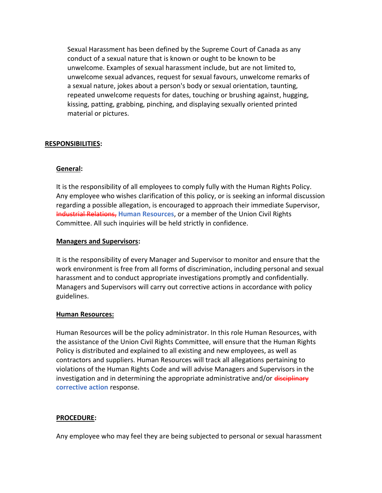Sexual Harassment has been defined by the Supreme Court of Canada as any conduct of a sexual nature that is known or ought to be known to be unwelcome. Examples of sexual harassment include, but are not limited to, unwelcome sexual advances, request for sexual favours, unwelcome remarks of a sexual nature, jokes about a person's body or sexual orientation, taunting, repeated unwelcome requests for dates, touching or brushing against, hugging, kissing, patting, grabbing, pinching, and displaying sexually oriented printed material or pictures.

## **RESPONSIBILITIES:**

## **General:**

It is the responsibility of all employees to comply fully with the Human Rights Policy. Any employee who wishes clarification of this policy, or is seeking an informal discussion regarding a possible allegation, is encouraged to approach their immediate Supervisor, Industrial Relations, **Human Resources**, or a member of the Union Civil Rights Committee. All such inquiries will be held strictly in confidence.

## **Managers and Supervisors:**

It is the responsibility of every Manager and Supervisor to monitor and ensure that the work environment is free from all forms of discrimination, including personal and sexual harassment and to conduct appropriate investigations promptly and confidentially. Managers and Supervisors will carry out corrective actions in accordance with policy guidelines.

## **Human Resources:**

Human Resources will be the policy administrator. In this role Human Resources, with the assistance of the Union Civil Rights Committee, will ensure that the Human Rights Policy is distributed and explained to all existing and new employees, as well as contractors and suppliers. Human Resources will track all allegations pertaining to violations of the Human Rights Code and will advise Managers and Supervisors in the investigation and in determining the appropriate administrative and/or disciplinary **corrective action** response.

## **PROCEDURE:**

Any employee who may feel they are being subjected to personal or sexual harassment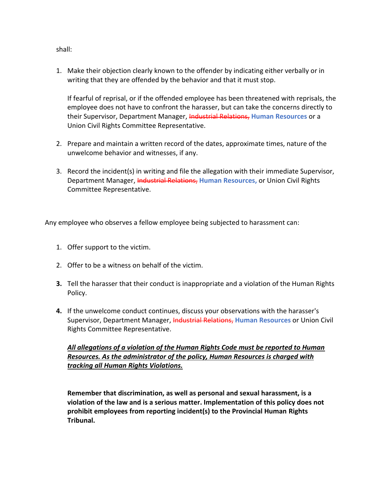1. Make their objection clearly known to the offender by indicating either verbally or in writing that they are offended by the behavior and that it must stop.

If fearful of reprisal, or if the offended employee has been threatened with reprisals, the employee does not have to confront the harasser, but can take the concerns directly to their Supervisor, Department Manager, Industrial Relations, **Human Resources** or a Union Civil Rights Committee Representative.

- 2. Prepare and maintain a written record of the dates, approximate times, nature of the unwelcome behavior and witnesses, if any.
- 3. Record the incident(s) in writing and file the allegation with their immediate Supervisor, Department Manager, Industrial Relations, **Human Resources,** or Union Civil Rights Committee Representative.

Any employee who observes a fellow employee being subjected to harassment can:

- 1. Offer support to the victim.
- 2. Offer to be a witness on behalf of the victim.
- **3.** Tell the harasser that their conduct is inappropriate and a violation of the Human Rights Policy.
- **4.** If the unwelcome conduct continues, discuss your observations with the harasser's Supervisor, Department Manager, *Industrial Relations*, Human Resources or Union Civil Rights Committee Representative.

## *All allegations of a violation of the Human Rights Code must be reported to Human Resources. As the administrator of the policy, Human Resources is charged with tracking all Human Rights Violations.*

**Remember that discrimination, as well as personal and sexual harassment, is a violation of the law and is a serious matter. Implementation of this policy does not prohibit employees from reporting incident(s) to the Provincial Human Rights Tribunal.**

shall: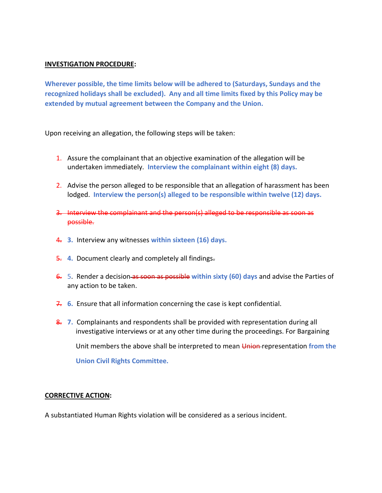#### **INVESTIGATION PROCEDURE:**

**Wherever possible, the time limits below will be adhered to (Saturdays, Sundays and the recognized holidays shall be excluded). Any and all time limits fixed by this Policy may be extended by mutual agreement between the Company and the Union.**

Upon receiving an allegation, the following steps will be taken:

- 1. Assure the complainant that an objective examination of the allegation will be undertaken immediately. **Interview the complainant within eight (8) days.**
- 2. Advise the person alleged to be responsible that an allegation of harassment has been lodged. **Interview the person(s) alleged to be responsible within twelve (12) days.**
- 3. Interview the complainant and the person(s) alleged to be responsible as soon as possible.
- 4. **3.** Interview any witnesses **within sixteen (16) days.**
- 5. **4.** Document clearly and completely all findings.
- 6. 5. Render a decision as soon as possible **within sixty (60) days** and advise the Parties of any action to be taken.
- 7. **6.** Ensure that all information concerning the case is kept confidential.
- 8. **7.** Complainants and respondents shall be provided with representation during all investigative interviews or at any other time during the proceedings. For Bargaining Unit members the above shall be interpreted to mean Union representation **from the Union Civil Rights Committee.**

## **CORRECTIVE ACTION:**

A substantiated Human Rights violation will be considered as a serious incident.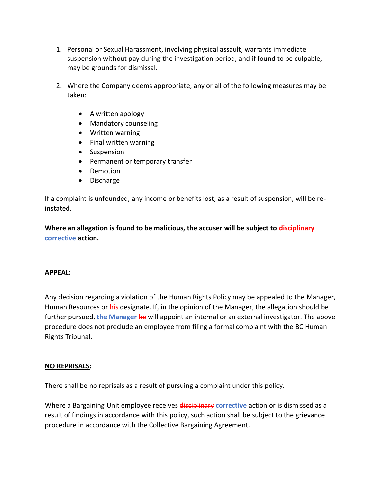- 1. Personal or Sexual Harassment, involving physical assault, warrants immediate suspension without pay during the investigation period, and if found to be culpable, may be grounds for dismissal.
- 2. Where the Company deems appropriate, any or all of the following measures may be taken:
	- A written apology
	- Mandatory counseling
	- Written warning
	- Final written warning
	- Suspension
	- Permanent or temporary transfer
	- Demotion
	- Discharge

If a complaint is unfounded, any income or benefits lost, as a result of suspension, will be reinstated.

**Where an allegation is found to be malicious, the accuser will be subject to disciplinary corrective action.**

## **APPEAL:**

Any decision regarding a violation of the Human Rights Policy may be appealed to the Manager, Human Resources or his designate. If, in the opinion of the Manager, the allegation should be further pursued, **the Manager** he will appoint an internal or an external investigator. The above procedure does not preclude an employee from filing a formal complaint with the BC Human Rights Tribunal.

## **NO REPRISALS:**

There shall be no reprisals as a result of pursuing a complaint under this policy.

Where a Bargaining Unit employee receives disciplinary **corrective** action or is dismissed as a result of findings in accordance with this policy, such action shall be subject to the grievance procedure in accordance with the Collective Bargaining Agreement.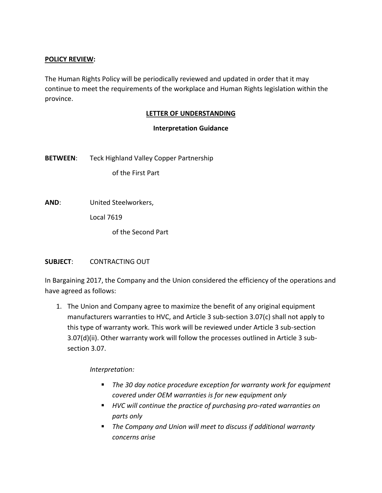## **POLICY REVIEW:**

The Human Rights Policy will be periodically reviewed and updated in order that it may continue to meet the requirements of the workplace and Human Rights legislation within the province.

## **LETTER OF UNDERSTANDING**

## **Interpretation Guidance**

**BETWEEN**: Teck Highland Valley Copper Partnership

of the First Part

**AND**: United Steelworkers,

Local 7619

of the Second Part

## **SUBJECT**: CONTRACTING OUT

In Bargaining 2017, the Company and the Union considered the efficiency of the operations and have agreed as follows:

1. The Union and Company agree to maximize the benefit of any original equipment manufacturers warranties to HVC, and Article 3 sub-section 3.07(c) shall not apply to this type of warranty work. This work will be reviewed under Article 3 sub-section 3.07(d)(ii). Other warranty work will follow the processes outlined in Article 3 subsection 3.07.

*Interpretation:*

- The 30 day notice procedure exception for warranty work for equipment *covered under OEM warranties is for new equipment only*
- *HVC will continue the practice of purchasing pro-rated warranties on parts only*
- *The Company and Union will meet to discuss if additional warranty concerns arise*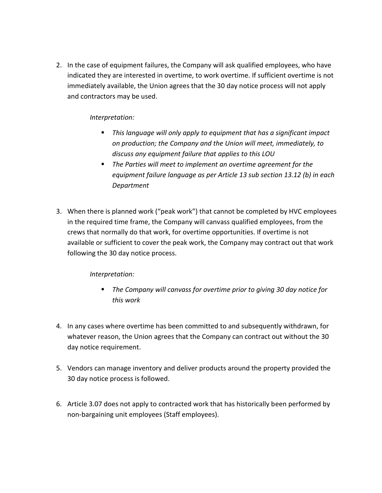2. In the case of equipment failures, the Company will ask qualified employees, who have indicated they are interested in overtime, to work overtime. If sufficient overtime is not immediately available, the Union agrees that the 30 day notice process will not apply and contractors may be used.

## *Interpretation:*

- This language will only apply to equipment that has a significant impact *on production; the Company and the Union will meet, immediately, to discuss any equipment failure that applies to this LOU*
- The Parties will meet to implement an overtime agreement for the *equipment failure language as per Article 13 sub section 13.12 (b) in each Department*
- 3. When there is planned work ("peak work") that cannot be completed by HVC employees in the required time frame, the Company will canvass qualified employees, from the crews that normally do that work, for overtime opportunities. If overtime is not available or sufficient to cover the peak work, the Company may contract out that work following the 30 day notice process.

## *Interpretation:*

- The Company will canvass for overtime prior to giving 30 day notice for *this work*
- 4. In any cases where overtime has been committed to and subsequently withdrawn, for whatever reason, the Union agrees that the Company can contract out without the 30 day notice requirement.
- 5. Vendors can manage inventory and deliver products around the property provided the 30 day notice process is followed.
- 6. Article 3.07 does not apply to contracted work that has historically been performed by non-bargaining unit employees (Staff employees).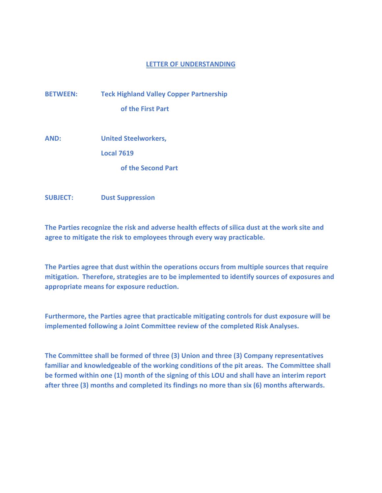**BETWEEN: Teck Highland Valley Copper Partnership of the First Part**

**AND: United Steelworkers,**

**Local 7619**

**of the Second Part**

**SUBJECT: Dust Suppression**

**The Parties recognize the risk and adverse health effects of silica dust at the work site and agree to mitigate the risk to employees through every way practicable.**

**The Parties agree that dust within the operations occurs from multiple sources that require mitigation. Therefore, strategies are to be implemented to identify sources of exposures and appropriate means for exposure reduction.** 

**Furthermore, the Parties agree that practicable mitigating controls for dust exposure will be implemented following a Joint Committee review of the completed Risk Analyses.** 

**The Committee shall be formed of three (3) Union and three (3) Company representatives familiar and knowledgeable of the working conditions of the pit areas. The Committee shall be formed within one (1) month of the signing of this LOU and shall have an interim report after three (3) months and completed its findings no more than six (6) months afterwards.**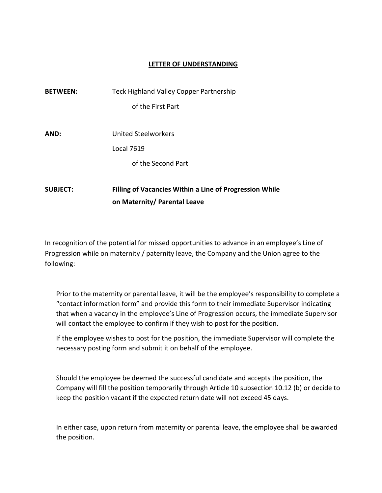| <b>BETWEEN:</b> | Teck Highland Valley Copper Partnership                        |
|-----------------|----------------------------------------------------------------|
|                 | of the First Part                                              |
| AND:            | United Steelworkers                                            |
|                 | Local 7619                                                     |
|                 | of the Second Part                                             |
| <b>SUBJECT:</b> | <b>Filling of Vacancies Within a Line of Progression While</b> |

**on Maternity/ Parental Leave**

In recognition of the potential for missed opportunities to advance in an employee's Line of Progression while on maternity / paternity leave, the Company and the Union agree to the following:

Prior to the maternity or parental leave, it will be the employee's responsibility to complete a "contact information form" and provide this form to their immediate Supervisor indicating that when a vacancy in the employee's Line of Progression occurs, the immediate Supervisor will contact the employee to confirm if they wish to post for the position.

If the employee wishes to post for the position, the immediate Supervisor will complete the necessary posting form and submit it on behalf of the employee.

Should the employee be deemed the successful candidate and accepts the position, the Company will fill the position temporarily through Article 10 subsection 10.12 (b) or decide to keep the position vacant if the expected return date will not exceed 45 days.

In either case, upon return from maternity or parental leave, the employee shall be awarded the position.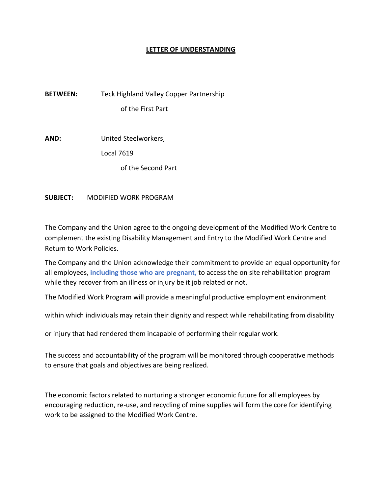**BETWEEN:** Teck Highland Valley Copper Partnership of the First Part

**AND:** United Steelworkers,

Local 7619

of the Second Part

**SUBJECT:** MODIFIED WORK PROGRAM

The Company and the Union agree to the ongoing development of the Modified Work Centre to complement the existing Disability Management and Entry to the Modified Work Centre and Return to Work Policies.

The Company and the Union acknowledge their commitment to provide an equal opportunity for all employees, **including those who are pregnant,** to access the on site rehabilitation program while they recover from an illness or injury be it job related or not.

The Modified Work Program will provide a meaningful productive employment environment

within which individuals may retain their dignity and respect while rehabilitating from disability

or injury that had rendered them incapable of performing their regular work.

The success and accountability of the program will be monitored through cooperative methods to ensure that goals and objectives are being realized.

The economic factors related to nurturing a stronger economic future for all employees by encouraging reduction, re-use, and recycling of mine supplies will form the core for identifying work to be assigned to the Modified Work Centre.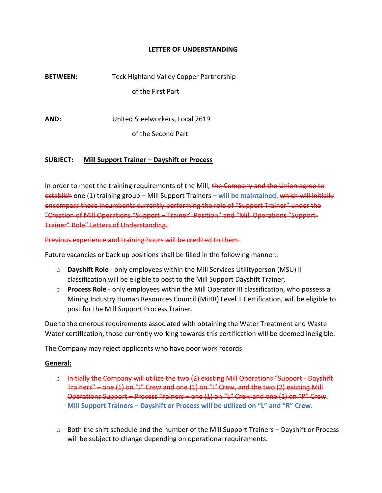**BETWEEN:** Teck Highland Valley Copper Partnership of the First Part

**AND:** United Steelworkers, Local 7619

of the Second Part

### **SUBJECT: Mill Support Trainer – Dayshift or Process**

In order to meet the training requirements of the Mill, the Company and the Union agree to establish one (1) training group – Mill Support Trainers – **will be maintained.** which will initially encompass those incumbents currently performing the role of "Support Trainer" under the "Creation of Mill Operations "Support – Trainer" Position" and "Mill Operations "Support-Trainer" Role" Letters of Understanding.

Previous experience and training hours will be credited to them.

Future vacancies or back up positions shall be filled in the following manner::

- o **Dayshift Role** only employees within the Mill Services Utilityperson (MSU) II classification will be eligible to post to the Mill Support Dayshift Trainer.
- o **Process Role** only employees within the Mill Operator III classification, who possess a Mining Industry Human Resources Council (MiHR) Level II Certification, will be eligible to post for the Mill Support Process Trainer.

Due to the onerous requirements associated with obtaining the Water Treatment and Waste Water certification, those currently working towards this certification will be deemed ineligible.

The Company may reject applicants who have poor work records.

#### **General:**

- o Initially the Company will utilize the two (2) existing Mill Operations "Support Dayshift Trainers" – one (1) on "J" Crew and one (1) on "I" Crew, and the two (2) existing Mill Operations Support – Process Trainers – one (1) on "L" Crew and one (1) on "R" Crew. **Mill Support Trainers – Dayshift or Process will be utilized on "L" and "R" Crew.**
- $\circ$  Both the shift schedule and the number of the Mill Support Trainers Dayshift or Process will be subject to change depending on operational requirements.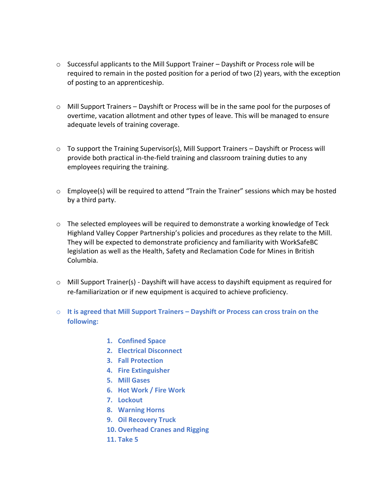- $\circ$  Successful applicants to the Mill Support Trainer Dayshift or Process role will be required to remain in the posted position for a period of two (2) years, with the exception of posting to an apprenticeship.
- $\circ$  Mill Support Trainers Dayshift or Process will be in the same pool for the purposes of overtime, vacation allotment and other types of leave. This will be managed to ensure adequate levels of training coverage.
- $\circ$  To support the Training Supervisor(s), Mill Support Trainers Dayshift or Process will provide both practical in-the-field training and classroom training duties to any employees requiring the training.
- o Employee(s) will be required to attend "Train the Trainer" sessions which may be hosted by a third party.
- $\circ$  The selected employees will be required to demonstrate a working knowledge of Teck Highland Valley Copper Partnership's policies and procedures as they relate to the Mill. They will be expected to demonstrate proficiency and familiarity with WorkSafeBC legislation as well as the Health, Safety and Reclamation Code for Mines in British Columbia.
- $\circ$  Mill Support Trainer(s) Dayshift will have access to dayshift equipment as required for re-familiarization or if new equipment is acquired to achieve proficiency.
- o **It is agreed that Mill Support Trainers – Dayshift or Process can cross train on the following:**
	- **1. Confined Space**
	- **2. Electrical Disconnect**
	- **3. Fall Protection**
	- **4. Fire Extinguisher**
	- **5. Mill Gases**
	- **6. Hot Work / Fire Work**
	- **7. Lockout**
	- **8. Warning Horns**
	- **9. Oil Recovery Truck**
	- **10. Overhead Cranes and Rigging**
	- **11. Take 5**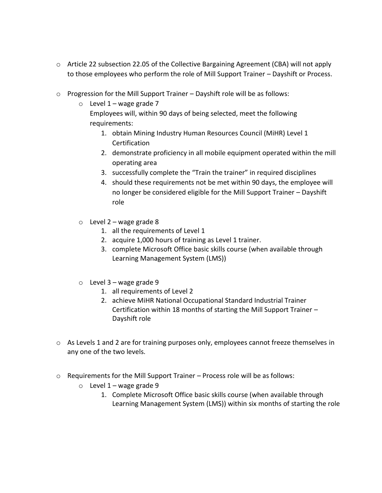- o Article 22 subsection 22.05 of the Collective Bargaining Agreement (CBA) will not apply to those employees who perform the role of Mill Support Trainer – Dayshift or Process.
- $\circ$  Progression for the Mill Support Trainer Dayshift role will be as follows:
	- $\circ$  Level 1 wage grade 7

Employees will, within 90 days of being selected, meet the following requirements:

- 1. obtain Mining Industry Human Resources Council (MiHR) Level 1 Certification
- 2. demonstrate proficiency in all mobile equipment operated within the mill operating area
- 3. successfully complete the "Train the trainer" in required disciplines
- 4. should these requirements not be met within 90 days, the employee will no longer be considered eligible for the Mill Support Trainer – Dayshift role
- $\circ$  Level 2 wage grade 8
	- 1. all the requirements of Level 1
	- 2. acquire 1,000 hours of training as Level 1 trainer.
	- 3. complete Microsoft Office basic skills course (when available through Learning Management System (LMS))
- $\circ$  Level 3 wage grade 9
	- 1. all requirements of Level 2
	- 2. achieve MiHR National Occupational Standard Industrial Trainer Certification within 18 months of starting the Mill Support Trainer – Dayshift role
- $\circ$  As Levels 1 and 2 are for training purposes only, employees cannot freeze themselves in any one of the two levels.
- $\circ$  Requirements for the Mill Support Trainer Process role will be as follows:
	- $\circ$  Level 1 wage grade 9
		- 1. Complete Microsoft Office basic skills course (when available through Learning Management System (LMS)) within six months of starting the role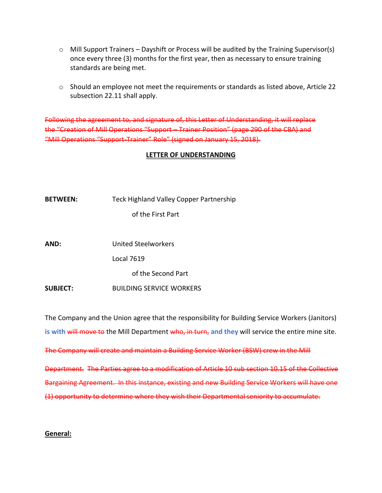- $\circ$  Mill Support Trainers Dayshift or Process will be audited by the Training Supervisor(s) once every three (3) months for the first year, then as necessary to ensure training standards are being met.
- o Should an employee not meet the requirements or standards as listed above, Article 22 subsection 22.11 shall apply.

Following the agreement to, and signature of, this Letter of Understanding, it will replace the "Creation of Mill Operations "Support – Trainer Position" (page 290 of the CBA) and "Mill Operations "Support-Trainer" Role" (signed on January 15, 2018).

### **LETTER OF UNDERSTANDING**

| Teck Highland Valley Copper Partnership |
|-----------------------------------------|
|                                         |

of the First Part

**AND:** United Steelworkers

Local 7619

of the Second Part

**SUBJECT:** BUILDING SERVICE WORKERS

The Company and the Union agree that the responsibility for Building Service Workers (Janitors) is with will move to the Mill Department who, in turn, and they will service the entire mine site. The Company will create and maintain a Building Service Worker (BSW) crew in the Mill Department. The Parties agree to a modification of Article 10 sub section 10.15 of the Collective Bargaining Agreement. In this instance, existing and new Building Service Workers will have one

(1) opportunity to determine where they wish their Departmental seniority to accumulate.

#### **General:**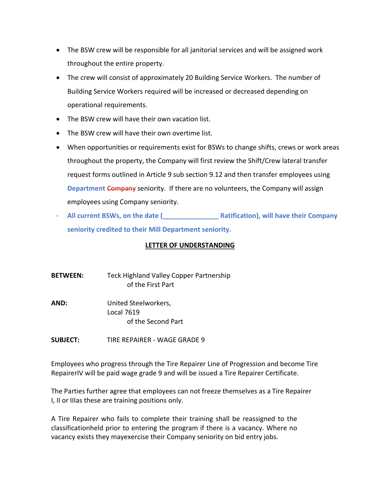- The BSW crew will be responsible for all janitorial services and will be assigned work throughout the entire property.
- The crew will consist of approximately 20 Building Service Workers. The number of Building Service Workers required will be increased or decreased depending on operational requirements.
- The BSW crew will have their own vacation list.
- The BSW crew will have their own overtime list.
- When opportunities or requirements exist for BSWs to change shifts, crews or work areas throughout the property, the Company will first review the Shift/Crew lateral transfer request forms outlined in Article 9 sub section 9.12 and then transfer employees using **Department** Company seniority. If there are no volunteers, the Company will assign employees using Company seniority.
- **All current BSWs, on the date (\_\_\_\_\_\_\_\_\_\_\_\_\_\_\_ Ratification), will have their Company seniority credited to their Mill Department seniority.**

- **BETWEEN:** Teck Highland Valley Copper Partnership of the First Part
- **AND:** United Steelworkers, Local 7619 of the Second Part
- **SUBJECT:** TIRE REPAIRER WAGE GRADE 9

Employees who progress through the Tire Repairer Line of Progression and become Tire RepairerIV will be paid wage grade 9 and will be issued a Tire Repairer Certificate.

The Parties further agree that employees can not freeze themselves as a Tire Repairer I, II or IIIas these are training positions only.

A Tire Repairer who fails to complete their training shall be reassigned to the classificationheld prior to entering the program if there is a vacancy. Where no vacancy exists they mayexercise their Company seniority on bid entry jobs.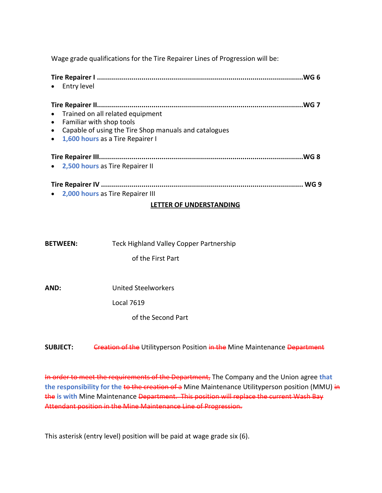Wage grade qualifications for the Tire Repairer Lines of Progression will be:

| .WG 6<br>Entry level                                                                                                                                                 |  |  |  |  |  |
|----------------------------------------------------------------------------------------------------------------------------------------------------------------------|--|--|--|--|--|
| .WG 7<br>• Trained on all related equipment<br>Familiar with shop tools<br>Capable of using the Tire Shop manuals and catalogues<br>1,600 hours as a Tire Repairer I |  |  |  |  |  |
| .WG 8                                                                                                                                                                |  |  |  |  |  |
| • 2,500 hours as Tire Repairer II                                                                                                                                    |  |  |  |  |  |
| WG 9                                                                                                                                                                 |  |  |  |  |  |
| 2,000 hours as Tire Repairer III                                                                                                                                     |  |  |  |  |  |
| LETTER OF UNDERSTANDING                                                                                                                                              |  |  |  |  |  |

- **BETWEEN:** Teck Highland Valley Copper Partnership of the First Part
- **AND:** United Steelworkers

Local 7619

of the Second Part

**SUBJECT:** Creation of the Utilityperson Position in the Mine Maintenance Department

In order to meet the requirements of the Department, The Company and the Union agree **that the responsibility for the to the creation of a** Mine Maintenance Utilityperson position (MMU) in the **is with** Mine Maintenance Department. This position will replace the current Wash Bay Attendant position in the Mine Maintenance Line of Progression.

This asterisk (entry level) position will be paid at wage grade six (6).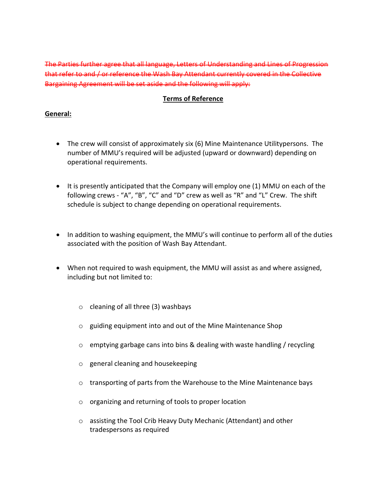The Parties further agree that all language, Letters of Understanding and Lines of Progression that refer to and / or reference the Wash Bay Attendant currently covered in the Collective Bargaining Agreement will be set aside and the following will apply:

## **Terms of Reference**

## **General:**

- The crew will consist of approximately six (6) Mine Maintenance Utilitypersons. The number of MMU's required will be adjusted (upward or downward) depending on operational requirements.
- It is presently anticipated that the Company will employ one (1) MMU on each of the following crews - "A", "B", "C" and "D" crew as well as "R" and "L" Crew. The shift schedule is subject to change depending on operational requirements.
- In addition to washing equipment, the MMU's will continue to perform all of the duties associated with the position of Wash Bay Attendant.
- When not required to wash equipment, the MMU will assist as and where assigned, including but not limited to:
	- o cleaning of all three (3) washbays
	- o guiding equipment into and out of the Mine Maintenance Shop
	- $\circ$  emptying garbage cans into bins & dealing with waste handling / recycling
	- o general cleaning and housekeeping
	- $\circ$  transporting of parts from the Warehouse to the Mine Maintenance bays
	- o organizing and returning of tools to proper location
	- o assisting the Tool Crib Heavy Duty Mechanic (Attendant) and other tradespersons as required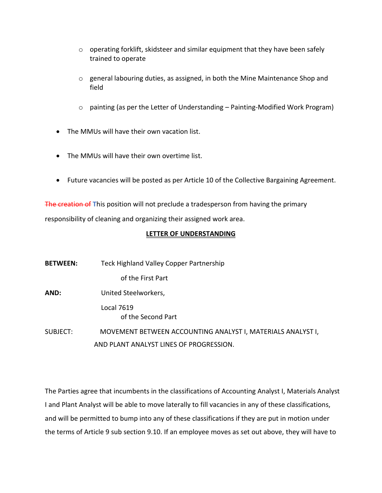- o operating forklift, skidsteer and similar equipment that they have been safely trained to operate
- o general labouring duties, as assigned, in both the Mine Maintenance Shop and field
- o painting (as per the Letter of Understanding Painting-Modified Work Program)
- The MMUs will have their own vacation list.
- The MMUs will have their own overtime list.
- Future vacancies will be posted as per Article 10 of the Collective Bargaining Agreement.

The creation of **T**his position will not preclude a tradesperson from having the primary responsibility of cleaning and organizing their assigned work area.

## **LETTER OF UNDERSTANDING**

| <b>BETWEEN:</b> | Teck Highland Valley Copper Partnership                     |
|-----------------|-------------------------------------------------------------|
|                 | of the First Part                                           |
| AND:            | United Steelworkers,                                        |
|                 | Local 7619<br>of the Second Part                            |
| SUBJECT:        | MOVEMENT BETWEEN ACCOUNTING ANALYST I, MATERIALS ANALYST I, |
|                 | AND PLANT ANALYST LINES OF PROGRESSION.                     |

The Parties agree that incumbents in the classifications of Accounting Analyst I, Materials Analyst I and Plant Analyst will be able to move laterally to fill vacancies in any of these classifications, and will be permitted to bump into any of these classifications if they are put in motion under the terms of Article 9 sub section 9.10. If an employee moves as set out above, they will have to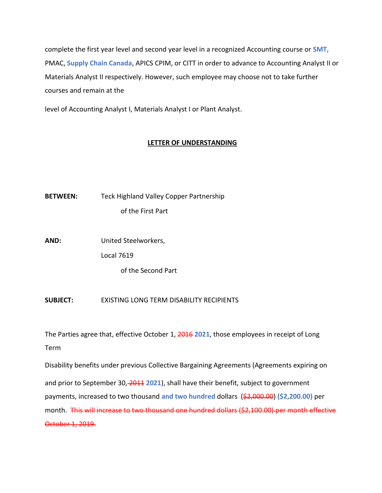complete the first year level and second year level in a recognized Accounting course or **SMT,** PMAC, **Supply Chain Canada**, APICS CPIM, or CITT in order to advance to Accounting Analyst II or Materials Analyst II respectively. However, such employee may choose not to take further courses and remain at the

level of Accounting Analyst I, Materials Analyst I or Plant Analyst.

## **LETTER OF UNDERSTANDING**

**BETWEEN:** Teck Highland Valley Copper Partnership of the First Part

**AND:** United Steelworkers,

Local 7619

of the Second Part

**SUBJECT:** EXISTING LONG TERM DISABILITY RECIPIENTS

The Parties agree that, effective October 1, 2016 **2021**, those employees in receipt of Long Term

Disability benefits under previous Collective Bargaining Agreements (Agreements expiring on and prior to September 30, 2011 **2021**), shall have their benefit, subject to government payments, increased to two thousand **and two hundred** dollars (\$2,000.00) **(\$2,200.00)** per month. This will increase to two thousand one hundred dollars (\$2,100.00) per month effective October 1, 2019.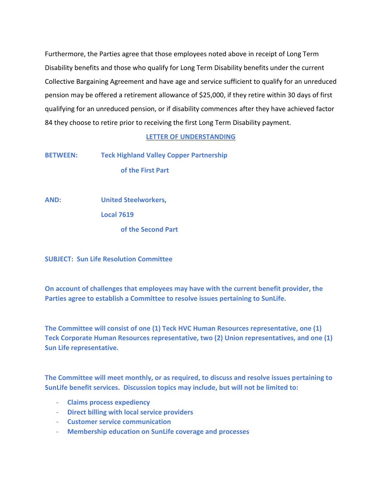Furthermore, the Parties agree that those employees noted above in receipt of Long Term Disability benefits and those who qualify for Long Term Disability benefits under the current Collective Bargaining Agreement and have age and service sufficient to qualify for an unreduced pension may be offered a retirement allowance of \$25,000, if they retire within 30 days of first qualifying for an unreduced pension, or if disability commences after they have achieved factor 84 they choose to retire prior to receiving the first Long Term Disability payment.

### **LETTER OF UNDERSTANDING**

**BETWEEN: Teck Highland Valley Copper Partnership of the First Part**

**AND: United Steelworkers,**

**Local 7619**

**of the Second Part**

**SUBJECT: Sun Life Resolution Committee**

**On account of challenges that employees may have with the current benefit provider, the Parties agree to establish a Committee to resolve issues pertaining to SunLife.**

**The Committee will consist of one (1) Teck HVC Human Resources representative, one (1) Teck Corporate Human Resources representative, two (2) Union representatives, and one (1) Sun Life representative.** 

**The Committee will meet monthly, or as required, to discuss and resolve issues pertaining to SunLife benefit services. Discussion topics may include, but will not be limited to:**

- **Claims process expediency**
- **Direct billing with local service providers**
- **Customer service communication**
- **Membership education on SunLife coverage and processes**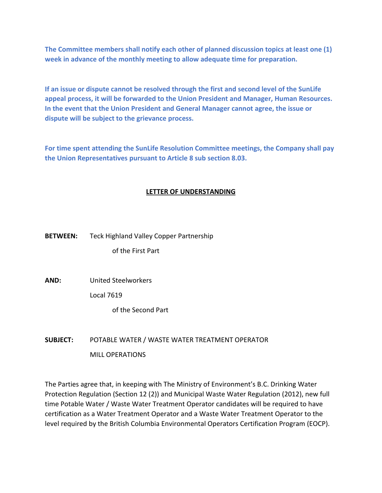**The Committee members shall notify each other of planned discussion topics at least one (1) week in advance of the monthly meeting to allow adequate time for preparation.**

**If an issue or dispute cannot be resolved through the first and second level of the SunLife appeal process, it will be forwarded to the Union President and Manager, Human Resources. In the event that the Union President and General Manager cannot agree, the issue or dispute will be subject to the grievance process.**

**For time spent attending the SunLife Resolution Committee meetings, the Company shall pay the Union Representatives pursuant to Article 8 sub section 8.03.**

## **LETTER OF UNDERSTANDING**

# **BETWEEN:** Teck Highland Valley Copper Partnership of the First Part

**AND:** United Steelworkers

Local 7619

of the Second Part

# **SUBJECT:** POTABLE WATER / WASTE WATER TREATMENT OPERATOR MILL OPERATIONS

The Parties agree that, in keeping with The Ministry of Environment's B.C. Drinking Water Protection Regulation (Section 12 (2)) and Municipal Waste Water Regulation (2012), new full time Potable Water / Waste Water Treatment Operator candidates will be required to have certification as a Water Treatment Operator and a Waste Water Treatment Operator to the level required by the British Columbia Environmental Operators Certification Program (EOCP).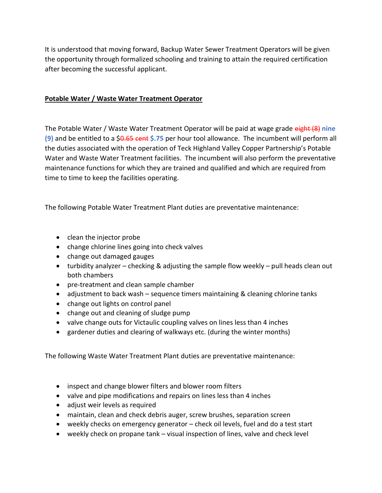It is understood that moving forward, Backup Water Sewer Treatment Operators will be given the opportunity through formalized schooling and training to attain the required certification after becoming the successful applicant.

## **Potable Water / Waste Water Treatment Operator**

The Potable Water / Waste Water Treatment Operator will be paid at wage grade eight (8) **nine (9)** and be entitled to a \$0.65 cent **\$.75** per hour tool allowance. The incumbent will perform all the duties associated with the operation of Teck Highland Valley Copper Partnership's Potable Water and Waste Water Treatment facilities. The incumbent will also perform the preventative maintenance functions for which they are trained and qualified and which are required from time to time to keep the facilities operating.

The following Potable Water Treatment Plant duties are preventative maintenance:

- clean the injector probe
- change chlorine lines going into check valves
- change out damaged gauges
- turbidity analyzer checking & adjusting the sample flow weekly pull heads clean out both chambers
- pre-treatment and clean sample chamber
- adjustment to back wash sequence timers maintaining & cleaning chlorine tanks
- change out lights on control panel
- change out and cleaning of sludge pump
- valve change outs for Victaulic coupling valves on lines less than 4 inches
- gardener duties and clearing of walkways etc. (during the winter months)

The following Waste Water Treatment Plant duties are preventative maintenance:

- inspect and change blower filters and blower room filters
- valve and pipe modifications and repairs on lines less than 4 inches
- adjust weir levels as required
- maintain, clean and check debris auger, screw brushes, separation screen
- weekly checks on emergency generator check oil levels, fuel and do a test start
- weekly check on propane tank visual inspection of lines, valve and check level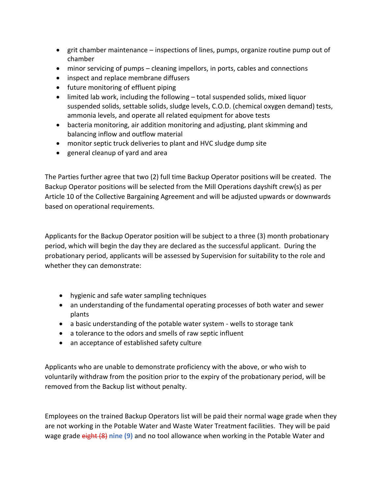- grit chamber maintenance inspections of lines, pumps, organize routine pump out of chamber
- minor servicing of pumps cleaning impellors, in ports, cables and connections
- inspect and replace membrane diffusers
- future monitoring of effluent piping
- limited lab work, including the following total suspended solids, mixed liquor suspended solids, settable solids, sludge levels, C.O.D. (chemical oxygen demand) tests, ammonia levels, and operate all related equipment for above tests
- bacteria monitoring, air addition monitoring and adjusting, plant skimming and balancing inflow and outflow material
- monitor septic truck deliveries to plant and HVC sludge dump site
- general cleanup of yard and area

The Parties further agree that two (2) full time Backup Operator positions will be created. The Backup Operator positions will be selected from the Mill Operations dayshift crew(s) as per Article 10 of the Collective Bargaining Agreement and will be adjusted upwards or downwards based on operational requirements.

Applicants for the Backup Operator position will be subject to a three (3) month probationary period, which will begin the day they are declared as the successful applicant. During the probationary period, applicants will be assessed by Supervision for suitability to the role and whether they can demonstrate:

- hygienic and safe water sampling techniques
- an understanding of the fundamental operating processes of both water and sewer plants
- a basic understanding of the potable water system wells to storage tank
- a tolerance to the odors and smells of raw septic influent
- an acceptance of established safety culture

Applicants who are unable to demonstrate proficiency with the above, or who wish to voluntarily withdraw from the position prior to the expiry of the probationary period, will be removed from the Backup list without penalty.

Employees on the trained Backup Operators list will be paid their normal wage grade when they are not working in the Potable Water and Waste Water Treatment facilities. They will be paid wage grade eight (8) **nine (9)** and no tool allowance when working in the Potable Water and